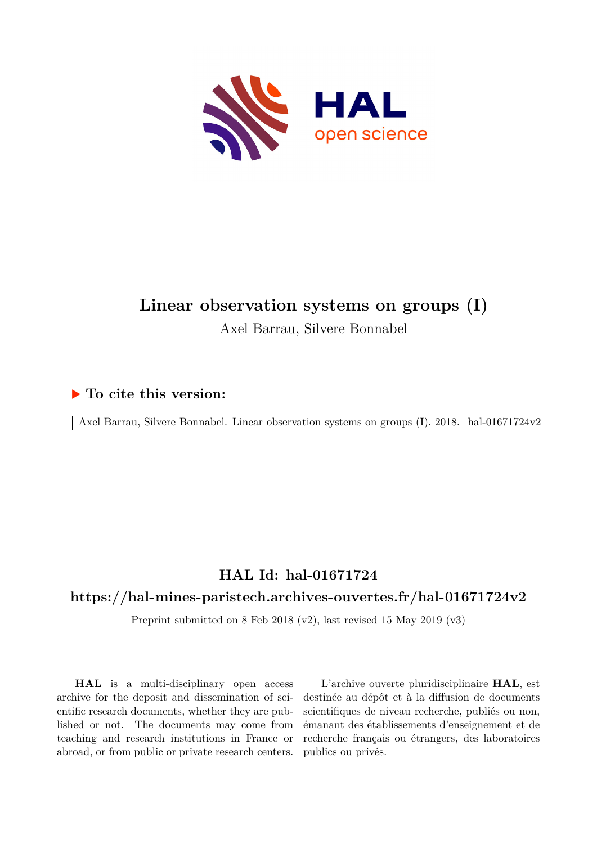

# **Linear observation systems on groups (I)** Axel Barrau, Silvere Bonnabel

## **To cite this version:**

 $\vert$  Axel Barrau, Silvere Bonnabel. Linear observation systems on groups (I). 2018. hal-01671724v2

## **HAL Id: hal-01671724**

## **<https://hal-mines-paristech.archives-ouvertes.fr/hal-01671724v2>**

Preprint submitted on 8 Feb 2018 (v2), last revised 15 May 2019 (v3)

**HAL** is a multi-disciplinary open access archive for the deposit and dissemination of scientific research documents, whether they are published or not. The documents may come from teaching and research institutions in France or abroad, or from public or private research centers.

L'archive ouverte pluridisciplinaire **HAL**, est destinée au dépôt et à la diffusion de documents scientifiques de niveau recherche, publiés ou non, émanant des établissements d'enseignement et de recherche français ou étrangers, des laboratoires publics ou privés.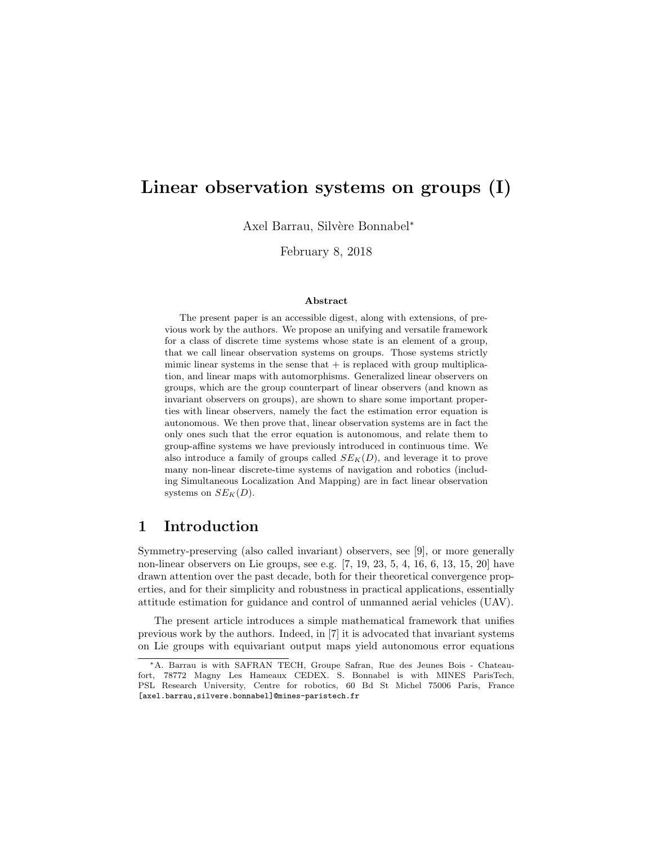## Linear observation systems on groups (I)

Axel Barrau, Silvère Bonnabel<sup>∗</sup>

February 8, 2018

#### Abstract

The present paper is an accessible digest, along with extensions, of previous work by the authors. We propose an unifying and versatile framework for a class of discrete time systems whose state is an element of a group, that we call linear observation systems on groups. Those systems strictly mimic linear systems in the sense that  $+$  is replaced with group multiplication, and linear maps with automorphisms. Generalized linear observers on groups, which are the group counterpart of linear observers (and known as invariant observers on groups), are shown to share some important properties with linear observers, namely the fact the estimation error equation is autonomous. We then prove that, linear observation systems are in fact the only ones such that the error equation is autonomous, and relate them to group-affine systems we have previously introduced in continuous time. We also introduce a family of groups called  $SE_K(D)$ , and leverage it to prove many non-linear discrete-time systems of navigation and robotics (including Simultaneous Localization And Mapping) are in fact linear observation systems on  $SE_K(D)$ .

## 1 Introduction

Symmetry-preserving (also called invariant) observers, see [9], or more generally non-linear observers on Lie groups, see e.g. [7, 19, 23, 5, 4, 16, 6, 13, 15, 20] have drawn attention over the past decade, both for their theoretical convergence properties, and for their simplicity and robustness in practical applications, essentially attitude estimation for guidance and control of unmanned aerial vehicles (UAV).

The present article introduces a simple mathematical framework that unifies previous work by the authors. Indeed, in [7] it is advocated that invariant systems on Lie groups with equivariant output maps yield autonomous error equations

<sup>∗</sup>A. Barrau is with SAFRAN TECH, Groupe Safran, Rue des Jeunes Bois - Chateaufort, 78772 Magny Les Hameaux CEDEX. S. Bonnabel is with MINES ParisTech, PSL Research University, Centre for robotics, 60 Bd St Michel 75006 Paris, France [axel.barrau,silvere.bonnabel]@mines-paristech.fr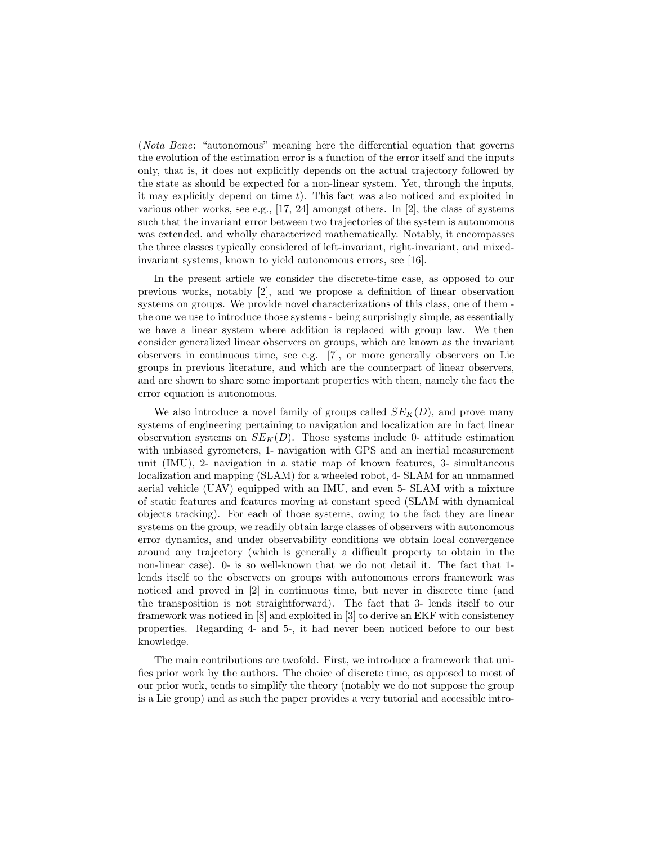(Nota Bene: "autonomous" meaning here the differential equation that governs the evolution of the estimation error is a function of the error itself and the inputs only, that is, it does not explicitly depends on the actual trajectory followed by the state as should be expected for a non-linear system. Yet, through the inputs, it may explicitly depend on time  $t$ ). This fact was also noticed and exploited in various other works, see e.g., [17, 24] amongst others. In [2], the class of systems such that the invariant error between two trajectories of the system is autonomous was extended, and wholly characterized mathematically. Notably, it encompasses the three classes typically considered of left-invariant, right-invariant, and mixedinvariant systems, known to yield autonomous errors, see [16].

In the present article we consider the discrete-time case, as opposed to our previous works, notably [2], and we propose a definition of linear observation systems on groups. We provide novel characterizations of this class, one of them the one we use to introduce those systems - being surprisingly simple, as essentially we have a linear system where addition is replaced with group law. We then consider generalized linear observers on groups, which are known as the invariant observers in continuous time, see e.g. [7], or more generally observers on Lie groups in previous literature, and which are the counterpart of linear observers, and are shown to share some important properties with them, namely the fact the error equation is autonomous.

We also introduce a novel family of groups called  $SE_K(D)$ , and prove many systems of engineering pertaining to navigation and localization are in fact linear observation systems on  $SE_K(D)$ . Those systems include 0- attitude estimation with unbiased gyrometers, 1- navigation with GPS and an inertial measurement unit (IMU), 2- navigation in a static map of known features, 3- simultaneous localization and mapping (SLAM) for a wheeled robot, 4- SLAM for an unmanned aerial vehicle (UAV) equipped with an IMU, and even 5- SLAM with a mixture of static features and features moving at constant speed (SLAM with dynamical objects tracking). For each of those systems, owing to the fact they are linear systems on the group, we readily obtain large classes of observers with autonomous error dynamics, and under observability conditions we obtain local convergence around any trajectory (which is generally a difficult property to obtain in the non-linear case). 0- is so well-known that we do not detail it. The fact that 1 lends itself to the observers on groups with autonomous errors framework was noticed and proved in [2] in continuous time, but never in discrete time (and the transposition is not straightforward). The fact that 3- lends itself to our framework was noticed in [8] and exploited in [3] to derive an EKF with consistency properties. Regarding 4- and 5-, it had never been noticed before to our best knowledge.

The main contributions are twofold. First, we introduce a framework that unifies prior work by the authors. The choice of discrete time, as opposed to most of our prior work, tends to simplify the theory (notably we do not suppose the group is a Lie group) and as such the paper provides a very tutorial and accessible intro-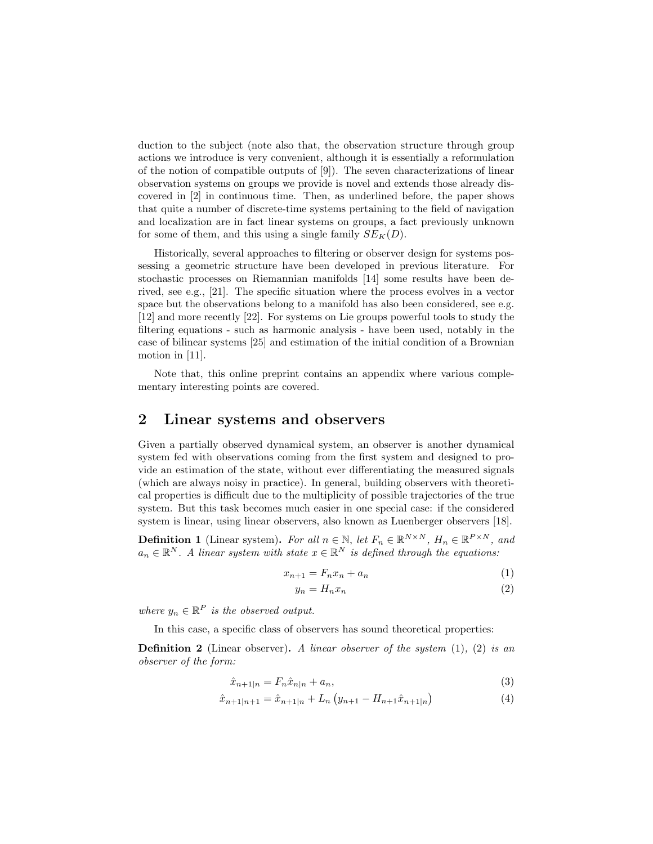duction to the subject (note also that, the observation structure through group actions we introduce is very convenient, although it is essentially a reformulation of the notion of compatible outputs of  $[9]$ . The seven characterizations of linear observation systems on groups we provide is novel and extends those already discovered in [2] in continuous time. Then, as underlined before, the paper shows that quite a number of discrete-time systems pertaining to the field of navigation and localization are in fact linear systems on groups, a fact previously unknown for some of them, and this using a single family  $SE_K(D)$ .

Historically, several approaches to filtering or observer design for systems possessing a geometric structure have been developed in previous literature. For stochastic processes on Riemannian manifolds [14] some results have been derived, see e.g., [21]. The specific situation where the process evolves in a vector space but the observations belong to a manifold has also been considered, see e.g. [12] and more recently [22]. For systems on Lie groups powerful tools to study the filtering equations - such as harmonic analysis - have been used, notably in the case of bilinear systems [25] and estimation of the initial condition of a Brownian motion in [11].

Note that, this online preprint contains an appendix where various complementary interesting points are covered.

### 2 Linear systems and observers

Given a partially observed dynamical system, an observer is another dynamical system fed with observations coming from the first system and designed to provide an estimation of the state, without ever differentiating the measured signals (which are always noisy in practice). In general, building observers with theoretical properties is difficult due to the multiplicity of possible trajectories of the true system. But this task becomes much easier in one special case: if the considered system is linear, using linear observers, also known as Luenberger observers [18].

**Definition 1** (Linear system). For all  $n \in \mathbb{N}$ , let  $F_n \in \mathbb{R}^{N \times N}$ ,  $H_n \in \mathbb{R}^{P \times N}$ , and  $a_n \in \mathbb{R}^N$ . A linear system with state  $x \in \mathbb{R}^N$  is defined through the equations:

$$
x_{n+1} = F_n x_n + a_n \tag{1}
$$

$$
y_n = H_n x_n \tag{2}
$$

where  $y_n \in \mathbb{R}^P$  is the observed output.

In this case, a specific class of observers has sound theoretical properties:

**Definition 2** (Linear observer). A linear observer of the system  $(1)$ ,  $(2)$  is an observer of the form:

$$
\hat{x}_{n+1|n} = F_n \hat{x}_{n|n} + a_n,\tag{3}
$$

$$
\hat{x}_{n+1|n+1} = \hat{x}_{n+1|n} + L_n \left( y_{n+1} - H_{n+1} \hat{x}_{n+1|n} \right) \tag{4}
$$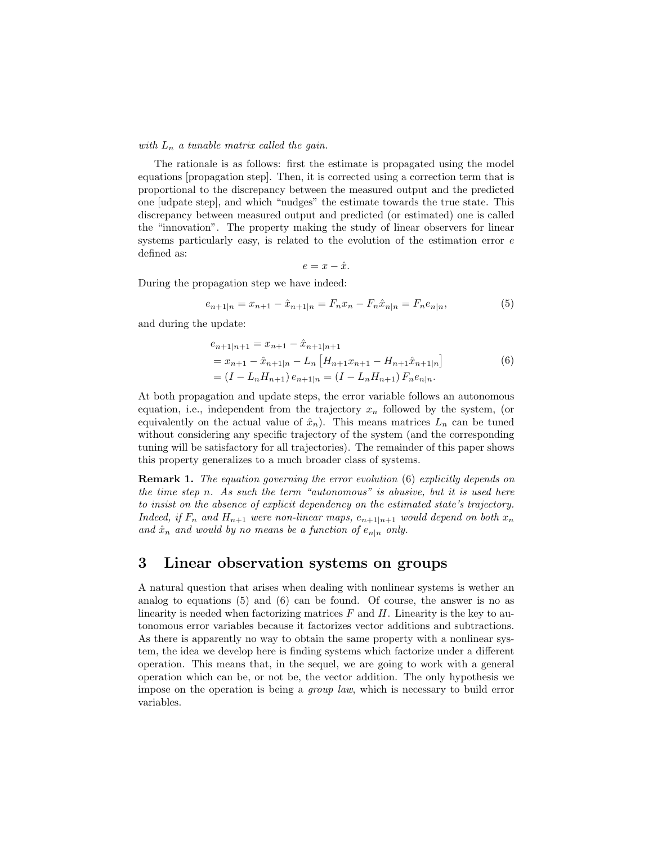#### with  $L_n$  a tunable matrix called the gain.

The rationale is as follows: first the estimate is propagated using the model equations [propagation step]. Then, it is corrected using a correction term that is proportional to the discrepancy between the measured output and the predicted one [udpate step], and which "nudges" the estimate towards the true state. This discrepancy between measured output and predicted (or estimated) one is called the "innovation". The property making the study of linear observers for linear systems particularly easy, is related to the evolution of the estimation error  $e$ defined as:

$$
e = x - \hat{x}.
$$

During the propagation step we have indeed:

$$
e_{n+1|n} = x_{n+1} - \hat{x}_{n+1|n} = F_n x_n - F_n \hat{x}_{n|n} = F_n e_{n|n},
$$
\n(5)

and during the update:

$$
e_{n+1|n+1} = x_{n+1} - \hat{x}_{n+1|n+1}
$$
  
=  $x_{n+1} - \hat{x}_{n+1|n} - L_n \left[ H_{n+1} x_{n+1} - H_{n+1} \hat{x}_{n+1|n} \right]$   
=  $(I - L_n H_{n+1}) e_{n+1|n} = (I - L_n H_{n+1}) F_n e_{n|n}.$  (6)

At both propagation and update steps, the error variable follows an autonomous equation, i.e., independent from the trajectory  $x_n$  followed by the system, (or equivalently on the actual value of  $\hat{x}_n$ ). This means matrices  $L_n$  can be tuned without considering any specific trajectory of the system (and the corresponding tuning will be satisfactory for all trajectories). The remainder of this paper shows this property generalizes to a much broader class of systems.

**Remark 1.** The equation governing the error evolution (6) explicitly depends on the time step n. As such the term "autonomous" is abusive, but it is used here to insist on the absence of explicit dependency on the estimated state's trajectory. Indeed, if  $F_n$  and  $H_{n+1}$  were non-linear maps,  $e_{n+1|n+1}$  would depend on both  $x_n$ and  $\hat{x}_n$  and would by no means be a function of  $e_{n|n}$  only.

### 3 Linear observation systems on groups

A natural question that arises when dealing with nonlinear systems is wether an analog to equations  $(5)$  and  $(6)$  can be found. Of course, the answer is no as linearity is needed when factorizing matrices  $F$  and  $H$ . Linearity is the key to autonomous error variables because it factorizes vector additions and subtractions. As there is apparently no way to obtain the same property with a nonlinear system, the idea we develop here is finding systems which factorize under a different operation. This means that, in the sequel, we are going to work with a general operation which can be, or not be, the vector addition. The only hypothesis we impose on the operation is being a group law, which is necessary to build error variables.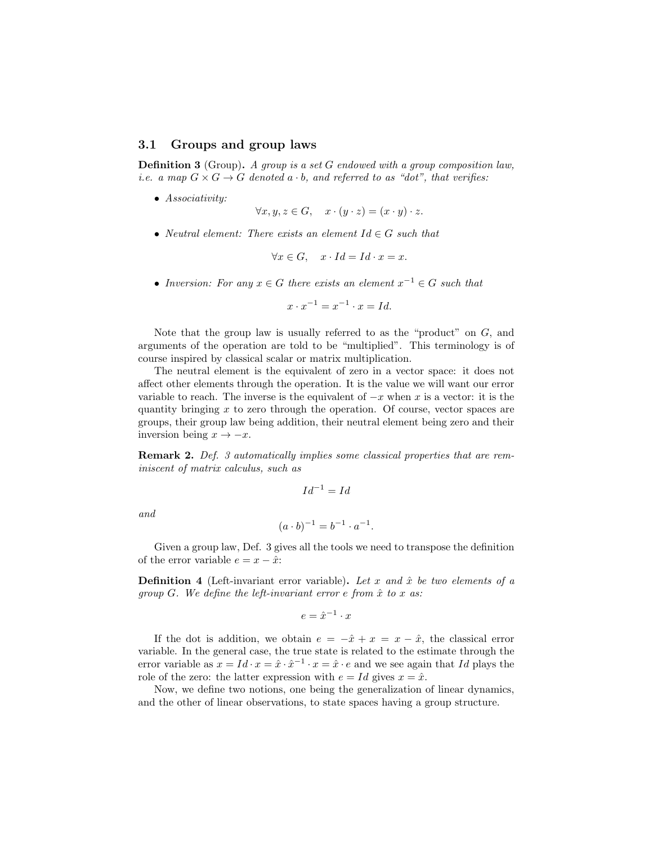#### 3.1 Groups and group laws

Definition 3 (Group). A group is a set G endowed with a group composition law, *i.e.* a map  $G \times G \rightarrow G$  denoted  $a \cdot b$ , and referred to as "dot", that verifies:

• Associativity:

$$
\forall x, y, z \in G, \quad x \cdot (y \cdot z) = (x \cdot y) \cdot z.
$$

• Neutral element: There exists an element  $Id \in G$  such that

$$
\forall x \in G, \quad x \cdot Id = Id \cdot x = x.
$$

• Inversion: For any  $x \in G$  there exists an element  $x^{-1} \in G$  such that

 $x \cdot x^{-1} = x^{-1} \cdot x = Id.$ 

Note that the group law is usually referred to as the "product" on  $G$ , and arguments of the operation are told to be "multiplied". This terminology is of course inspired by classical scalar or matrix multiplication.

The neutral element is the equivalent of zero in a vector space: it does not affect other elements through the operation. It is the value we will want our error variable to reach. The inverse is the equivalent of  $-x$  when x is a vector: it is the quantity bringing  $x$  to zero through the operation. Of course, vector spaces are groups, their group law being addition, their neutral element being zero and their inversion being  $x \to -x$ .

Remark 2. Def. 3 automatically implies some classical properties that are reminiscent of matrix calculus, such as

$$
Id^{-1} = Id
$$

and

$$
(a \cdot b)^{-1} = b^{-1} \cdot a^{-1}.
$$

Given a group law, Def. 3 gives all the tools we need to transpose the definition of the error variable  $e = x - \hat{x}$ :

**Definition 4** (Left-invariant error variable). Let x and  $\hat{x}$  be two elements of a group  $G$ . We define the left-invariant error e from  $\hat{x}$  to  $x$  as:

$$
e = \hat{x}^{-1} \cdot x
$$

If the dot is addition, we obtain  $e = -\hat{x} + x = x - \hat{x}$ , the classical error variable. In the general case, the true state is related to the estimate through the error variable as  $x = Id \cdot x = \hat{x} \cdot \hat{x}^{-1} \cdot x = \hat{x} \cdot e$  and we see again that Id plays the role of the zero: the latter expression with  $e = Id$  gives  $x = \hat{x}$ .

Now, we define two notions, one being the generalization of linear dynamics, and the other of linear observations, to state spaces having a group structure.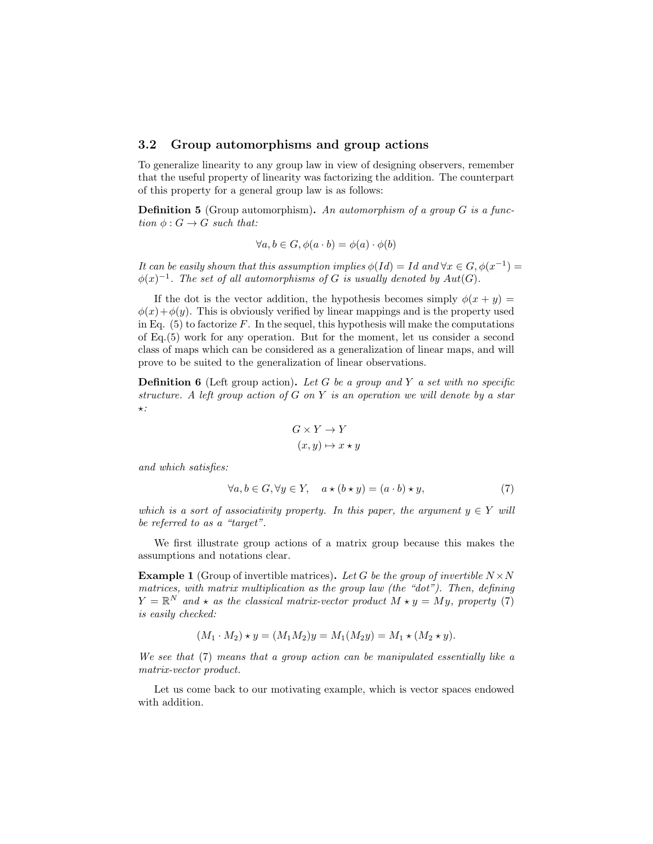#### 3.2 Group automorphisms and group actions

To generalize linearity to any group law in view of designing observers, remember that the useful property of linearity was factorizing the addition. The counterpart of this property for a general group law is as follows:

**Definition 5** (Group automorphism). An automorphism of a group  $G$  is a function  $\phi: G \to G$  such that:

$$
\forall a, b \in G, \phi(a \cdot b) = \phi(a) \cdot \phi(b)
$$

It can be easily shown that this assumption implies  $\phi(Id) = Id$  and  $\forall x \in G, \phi(x^{-1}) =$  $\phi(x)^{-1}$ . The set of all automorphisms of G is usually denoted by  $Aut(G)$ .

If the dot is the vector addition, the hypothesis becomes simply  $\phi(x+y)$  $\phi(x)+\phi(y)$ . This is obviously verified by linear mappings and is the property used in Eq.  $(5)$  to factorize F. In the sequel, this hypothesis will make the computations of Eq.(5) work for any operation. But for the moment, let us consider a second class of maps which can be considered as a generalization of linear maps, and will prove to be suited to the generalization of linear observations.

**Definition 6** (Left group action). Let G be a group and Y a set with no specific structure. A left group action of  $G$  on  $Y$  is an operation we will denote by a star  $\star$ :

$$
G \times Y \to Y
$$

$$
(x, y) \mapsto x \star y
$$

and which satisfies:

$$
\forall a, b \in G, \forall y \in Y, \quad a \star (b \star y) = (a \cdot b) \star y,\tag{7}
$$

which is a sort of associativity property. In this paper, the argument  $y \in Y$  will be referred to as a "target".

We first illustrate group actions of a matrix group because this makes the assumptions and notations clear.

**Example 1** (Group of invertible matrices). Let G be the group of invertible  $N \times N$ matrices, with matrix multiplication as the group law (the "dot"). Then, defining  $Y = \mathbb{R}^N$  and  $\star$  as the classical matrix-vector product  $M \star y = My$ , property (7) is easily checked:

$$
(M_1 \cdot M_2) \star y = (M_1 M_2)y = M_1(M_2 y) = M_1 \star (M_2 \star y).
$$

We see that (7) means that a group action can be manipulated essentially like a matrix-vector product.

Let us come back to our motivating example, which is vector spaces endowed with addition.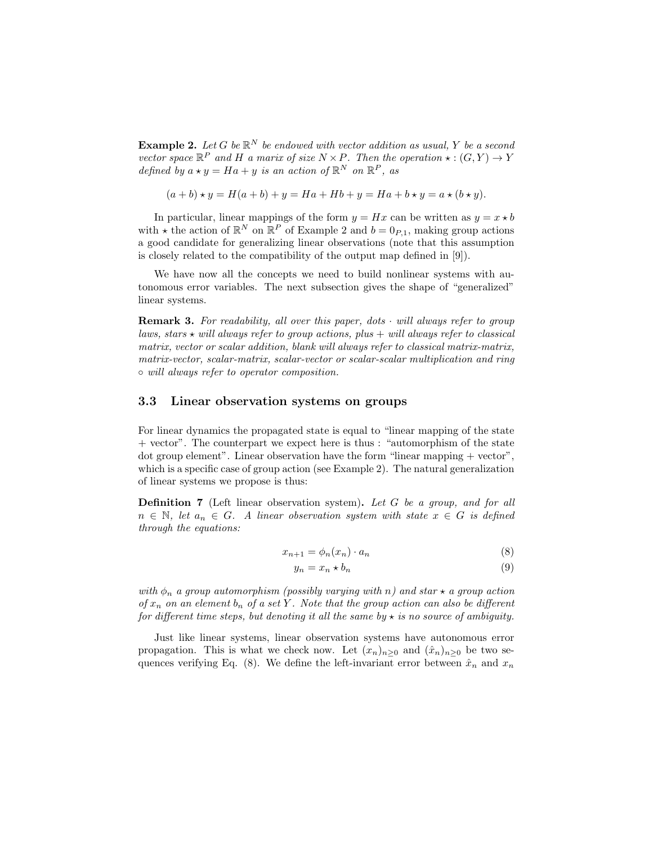**Example 2.** Let G be  $\mathbb{R}^N$  be endowed with vector addition as usual, Y be a second vector space  $\mathbb{R}^P$  and H a marix of size  $N \times P$ . Then the operation  $\star : (G, Y) \to Y$ defined by  $a \star y = Ha + y$  is an action of  $\mathbb{R}^N$  on  $\mathbb{R}^P$ , as

$$
(a + b) \star y = H(a + b) + y = Ha + Hb + y = Ha + b \star y = a \star (b \star y).
$$

In particular, linear mappings of the form  $y = Hx$  can be written as  $y = x * b$ with  $\star$  the action of  $\mathbb{R}^N$  on  $\mathbb{R}^P$  of Example 2 and  $b = 0_{P,1}$ , making group actions a good candidate for generalizing linear observations (note that this assumption is closely related to the compatibility of the output map defined in [9]).

We have now all the concepts we need to build nonlinear systems with autonomous error variables. The next subsection gives the shape of "generalized" linear systems.

**Remark 3.** For readability, all over this paper, dots  $\cdot$  will always refer to group laws, stars  $\star$  will always refer to group actions, plus  $+$  will always refer to classical matrix, vector or scalar addition, blank will always refer to classical matrix-matrix, matrix-vector, scalar-matrix, scalar-vector or scalar-scalar multiplication and ring ◦ will always refer to operator composition.

#### 3.3 Linear observation systems on groups

For linear dynamics the propagated state is equal to "linear mapping of the state + vector". The counterpart we expect here is thus : "automorphism of the state dot group element". Linear observation have the form "linear mapping + vector", which is a specific case of group action (see Example 2). The natural generalization of linear systems we propose is thus:

Definition 7 (Left linear observation system). Let G be a group, and for all  $n \in \mathbb{N}$ , let  $a_n \in G$ . A linear observation system with state  $x \in G$  is defined through the equations:

$$
x_{n+1} = \phi_n(x_n) \cdot a_n \tag{8}
$$

$$
y_n = x_n \star b_n \tag{9}
$$

with  $\phi_n$  a group automorphism (possibly varying with n) and star  $\star$  a group action of  $x_n$  on an element  $b_n$  of a set Y. Note that the group action can also be different for different time steps, but denoting it all the same by  $\star$  is no source of ambiguity.

Just like linear systems, linear observation systems have autonomous error propagation. This is what we check now. Let  $(x_n)_{n>0}$  and  $(\hat{x}_n)_{n>0}$  be two sequences verifying Eq. (8). We define the left-invariant error between  $\hat{x}_n$  and  $x_n$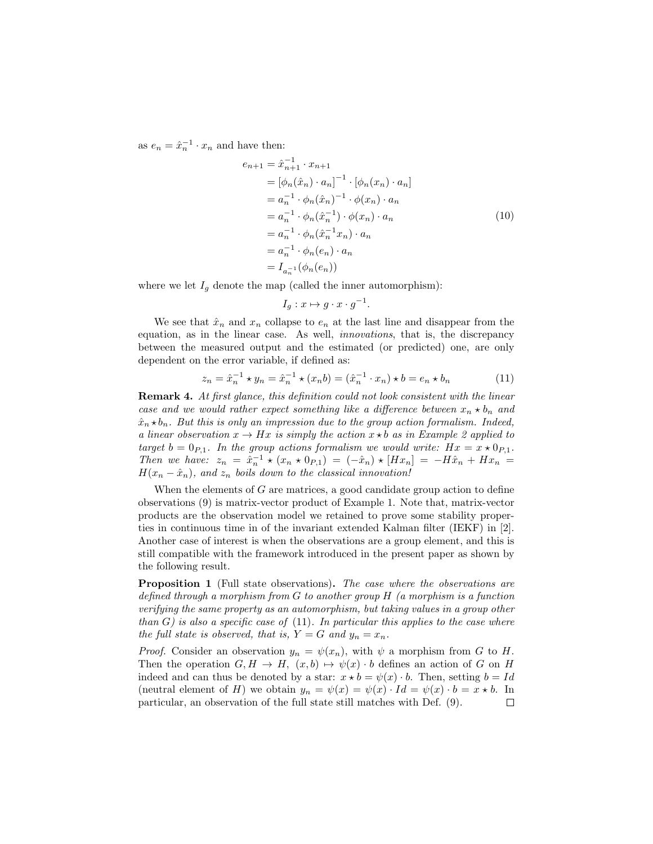as  $e_n = \hat{x}_n^{-1} \cdot x_n$  and have then:

$$
e_{n+1} = \hat{x}_{n+1}^{-1} \cdot x_{n+1}
$$
  
\n
$$
= [\phi_n(\hat{x}_n) \cdot a_n]^{-1} \cdot [\phi_n(x_n) \cdot a_n]
$$
  
\n
$$
= a_n^{-1} \cdot \phi_n(\hat{x}_n)^{-1} \cdot \phi(x_n) \cdot a_n
$$
  
\n
$$
= a_n^{-1} \cdot \phi_n(\hat{x}_n^{-1}) \cdot \phi(x_n) \cdot a_n
$$
  
\n
$$
= a_n^{-1} \cdot \phi_n(\hat{x}_n^{-1} x_n) \cdot a_n
$$
  
\n
$$
= a_n^{-1} \cdot \phi_n(e_n) \cdot a_n
$$
  
\n
$$
= I_{a_n^{-1}}(\phi_n(e_n))
$$
  
\n(10)

where we let  $I<sub>g</sub>$  denote the map (called the inner automorphism):

$$
I_g: x \mapsto g \cdot x \cdot g^{-1}.
$$

We see that  $\hat{x}_n$  and  $x_n$  collapse to  $e_n$  at the last line and disappear from the equation, as in the linear case. As well, innovations, that is, the discrepancy between the measured output and the estimated (or predicted) one, are only dependent on the error variable, if defined as:

$$
z_n = \hat{x}_n^{-1} \star y_n = \hat{x}_n^{-1} \star (x_n b) = (\hat{x}_n^{-1} \cdot x_n) \star b = e_n \star b_n
$$
 (11)

Remark 4. At first glance, this definition could not look consistent with the linear case and we would rather expect something like a difference between  $x_n \star b_n$  and  $\hat{x}_n \star b_n$ . But this is only an impression due to the group action formalism. Indeed, a linear observation  $x \to Hx$  is simply the action  $x \star b$  as in Example 2 applied to target  $b = 0_{P,1}$ . In the group actions formalism we would write:  $Hx = x \star 0_{P,1}$ . Then we have:  $z_n = \hat{x}_n^{-1} \star (x_n \star 0_{P,1}) = (-\hat{x}_n) \star [Hx_n] = -H\hat{x}_n + Hx_n$  $H(x_n - \hat{x}_n)$ , and  $z_n$  boils down to the classical innovation!

When the elements of  $G$  are matrices, a good candidate group action to define observations (9) is matrix-vector product of Example 1. Note that, matrix-vector products are the observation model we retained to prove some stability properties in continuous time in of the invariant extended Kalman filter (IEKF) in [2]. Another case of interest is when the observations are a group element, and this is still compatible with the framework introduced in the present paper as shown by the following result.

Proposition 1 (Full state observations). The case where the observations are defined through a morphism from  $G$  to another group  $H$  (a morphism is a function verifying the same property as an automorphism, but taking values in a group other than  $G$ ) is also a specific case of  $(11)$ . In particular this applies to the case where the full state is observed, that is,  $Y = G$  and  $y_n = x_n$ .

*Proof.* Consider an observation  $y_n = \psi(x_n)$ , with  $\psi$  a morphism from G to H. Then the operation  $G, H \to H$ ,  $(x, b) \mapsto \psi(x) \cdot b$  defines an action of G on H indeed and can thus be denoted by a star:  $x \star b = \psi(x) \cdot b$ . Then, setting  $b = Id$ (neutral element of H) we obtain  $y_n = \psi(x) = \psi(x) \cdot Id = \psi(x) \cdot b = x * b$ . In particular, an observation of the full state still matches with Def. (9). $\Box$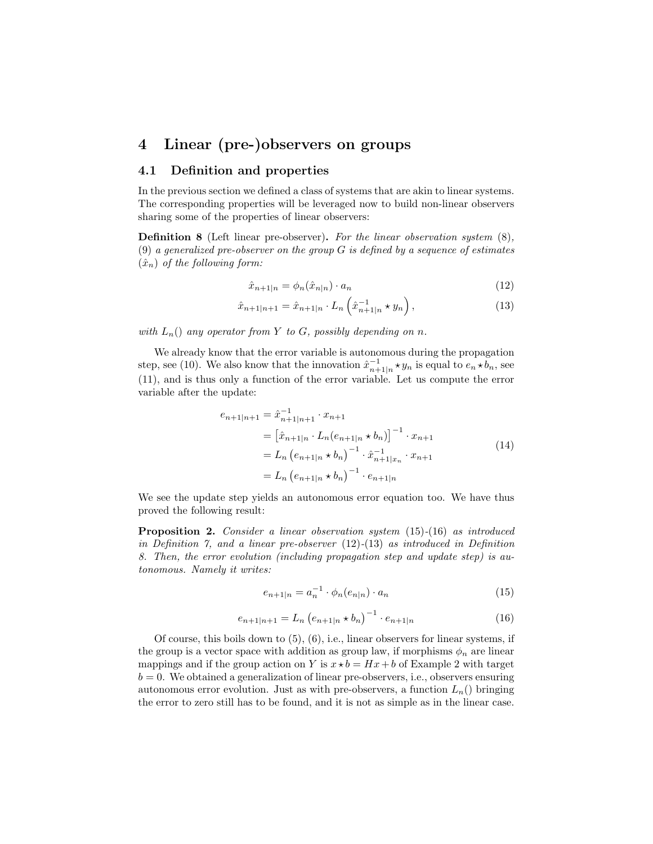## 4 Linear (pre-)observers on groups

#### 4.1 Definition and properties

In the previous section we defined a class of systems that are akin to linear systems. The corresponding properties will be leveraged now to build non-linear observers sharing some of the properties of linear observers:

Definition 8 (Left linear pre-observer). For the linear observation system (8), (9) a generalized pre-observer on the group  $G$  is defined by a sequence of estimates  $(\hat{x}_n)$  of the following form:

$$
\hat{x}_{n+1|n} = \phi_n(\hat{x}_{n|n}) \cdot a_n \tag{12}
$$

$$
\hat{x}_{n+1|n+1} = \hat{x}_{n+1|n} \cdot L_n \left( \hat{x}_{n+1|n}^{-1} \star y_n \right), \tag{13}
$$

with  $L_n()$  any operator from Y to G, possibly depending on n.

We already know that the error variable is autonomous during the propagation step, see (10). We also know that the innovation  $\hat{x}_{n+1|n}^{-1} \star y_n$  is equal to  $e_n \star b_n$ , see (11), and is thus only a function of the error variable. Let us compute the error variable after the update:

$$
e_{n+1|n+1} = \hat{x}_{n+1|n+1}^{-1} \cdot x_{n+1}
$$
  
\n
$$
= \left[ \hat{x}_{n+1|n} \cdot L_n(e_{n+1|n} \star b_n) \right]^{-1} \cdot x_{n+1}
$$
  
\n
$$
= L_n (e_{n+1|n} \star b_n)^{-1} \cdot \hat{x}_{n+1|x_n}^{-1} \cdot x_{n+1}
$$
  
\n
$$
= L_n (e_{n+1|n} \star b_n)^{-1} \cdot e_{n+1|n}
$$
\n(14)

We see the update step yields an autonomous error equation too. We have thus proved the following result:

Proposition 2. Consider a linear observation system (15)-(16) as introduced in Definition 7, and a linear pre-observer (12)-(13) as introduced in Definition 8. Then, the error evolution (including propagation step and update step) is autonomous. Namely it writes:

$$
e_{n+1|n} = a_n^{-1} \cdot \phi_n(e_{n|n}) \cdot a_n \tag{15}
$$

$$
e_{n+1|n+1} = L_n \left( e_{n+1|n} \star b_n \right)^{-1} \cdot e_{n+1|n} \tag{16}
$$

Of course, this boils down to  $(5)$ ,  $(6)$ , i.e., linear observers for linear systems, if the group is a vector space with addition as group law, if morphisms  $\phi_n$  are linear mappings and if the group action on Y is  $x \star b = Hx + b$  of Example 2 with target  $b = 0$ . We obtained a generalization of linear pre-observers, i.e., observers ensuring autonomous error evolution. Just as with pre-observers, a function  $L_n()$  bringing the error to zero still has to be found, and it is not as simple as in the linear case.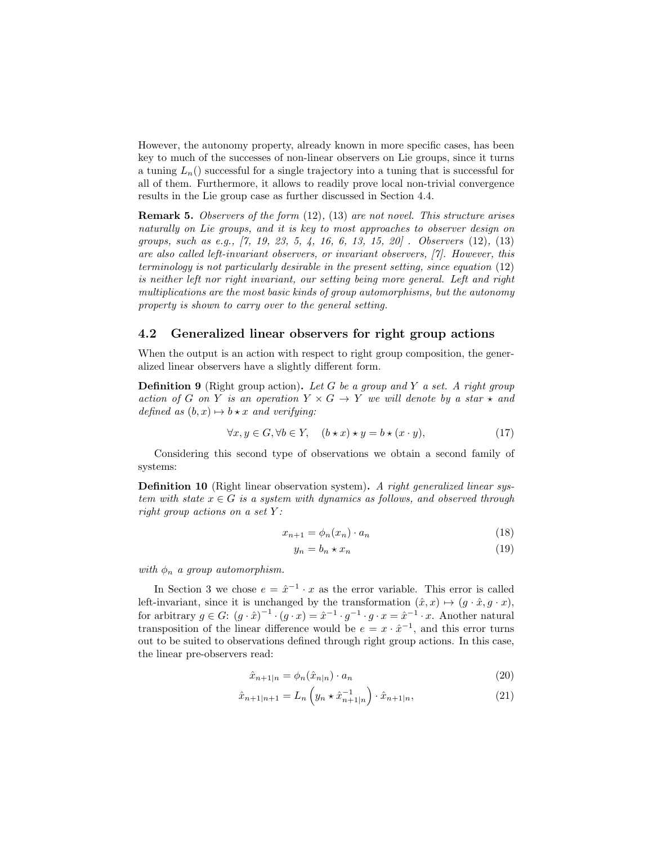However, the autonomy property, already known in more specific cases, has been key to much of the successes of non-linear observers on Lie groups, since it turns a tuning  $L_n()$  successful for a single trajectory into a tuning that is successful for all of them. Furthermore, it allows to readily prove local non-trivial convergence results in the Lie group case as further discussed in Section 4.4.

Remark 5. Observers of the form (12), (13) are not novel. This structure arises naturally on Lie groups, and it is key to most approaches to observer design on groups, such as e.g., [7, 19, 23, 5, 4, 16, 6, 13, 15, 20] . Observers (12), (13) are also called left-invariant observers, or invariant observers, [7]. However, this terminology is not particularly desirable in the present setting, since equation (12) is neither left nor right invariant, our setting being more general. Left and right multiplications are the most basic kinds of group automorphisms, but the autonomy property is shown to carry over to the general setting.

#### 4.2 Generalized linear observers for right group actions

When the output is an action with respect to right group composition, the generalized linear observers have a slightly different form.

**Definition 9** (Right group action). Let G be a group and Y a set. A right group action of G on Y is an operation  $Y \times G \to Y$  we will denote by a star  $\star$  and defined as  $(b, x) \mapsto b \star x$  and verifying:

$$
\forall x, y \in G, \forall b \in Y, \quad (b \star x) \star y = b \star (x \cdot y), \tag{17}
$$

Considering this second type of observations we obtain a second family of systems:

Definition 10 (Right linear observation system). A right generalized linear system with state  $x \in G$  is a system with dynamics as follows, and observed through right group actions on a set  $Y$ :

$$
x_{n+1} = \phi_n(x_n) \cdot a_n \tag{18}
$$

$$
y_n = b_n \star x_n \tag{19}
$$

with  $\phi_n$  a group automorphism.

In Section 3 we chose  $e = \hat{x}^{-1} \cdot x$  as the error variable. This error is called left-invariant, since it is unchanged by the transformation  $(\hat{x}, x) \mapsto (g \cdot \hat{x}, g \cdot x)$ , for arbitrary  $g \in G$ :  $(g \cdot \hat{x})^{-1} \cdot (g \cdot x) = \hat{x}^{-1} \cdot g^{-1} \cdot g \cdot x = \hat{x}^{-1} \cdot x$ . Another natural transposition of the linear difference would be  $e = x \cdot \hat{x}^{-1}$ , and this error turns out to be suited to observations defined through right group actions. In this case, the linear pre-observers read:

$$
\hat{x}_{n+1|n} = \phi_n(\hat{x}_{n|n}) \cdot a_n \tag{20}
$$

$$
\hat{x}_{n+1|n+1} = L_n \left( y_n \star \hat{x}_{n+1|n}^{-1} \right) \cdot \hat{x}_{n+1|n},\tag{21}
$$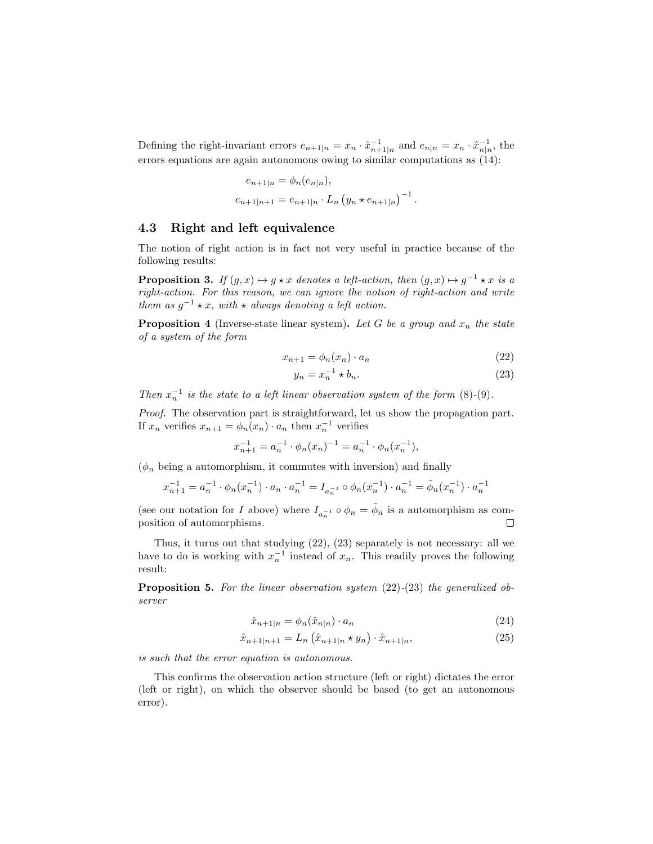Defining the right-invariant errors  $e_{n+1|n} = x_n \cdot \hat{x}_{n+1|n}^{-1}$  and  $e_{n|n} = x_n \cdot \hat{x}_{n|n}^{-1}$ , the errors equations are again autonomous owing to similar computations as (14):

$$
e_{n+1|n} = \phi_n(e_{n|n}),
$$
  

$$
e_{n+1|n+1} = e_{n+1|n} \cdot L_n \left( y_n \star e_{n+1|n} \right)^{-1}.
$$

### 4.3 Right and left equivalence

The notion of right action is in fact not very useful in practice because of the following results:

**Proposition 3.** If  $(g, x) \mapsto g \star x$  denotes a left-action, then  $(g, x) \mapsto g^{-1} \star x$  is a right-action. For this reason, we can ignore the notion of right-action and write them as  $g^{-1} \star x$ , with  $\star$  always denoting a left action.

**Proposition 4** (Inverse-state linear system). Let G be a group and  $x_n$  the state of a system of the form

$$
x_{n+1} = \phi_n(x_n) \cdot a_n \tag{22}
$$

$$
y_n = x_n^{-1} \star b_n. \tag{23}
$$

Then  $x_n^{-1}$  is the state to a left linear observation system of the form (8)-(9).

Proof. The observation part is straightforward, let us show the propagation part. If  $x_n$  verifies  $x_{n+1} = \phi_n(x_n) \cdot a_n$  then  $x_n^{-1}$  verifies

$$
x_{n+1}^{-1} = a_n^{-1} \cdot \phi_n(x_n)^{-1} = a_n^{-1} \cdot \phi_n(x_n^{-1}),
$$

 $(\phi_n)$  being a automorphism, it commutes with inversion) and finally

$$
x_{n+1}^{-1} = a_n^{-1} \cdot \phi_n(x_n^{-1}) \cdot a_n \cdot a_n^{-1} = I_{a_n^{-1}} \circ \phi_n(x_n^{-1}) \cdot a_n^{-1} = \tilde{\phi}_n(x_n^{-1}) \cdot a_n^{-1}
$$

(see our notation for I above) where  $I_{a_n^{-1}} \circ \phi_n = \tilde{\phi}_n$  is a automorphism as composition of automorphisms.  $\Box$ 

Thus, it turns out that studying (22), (23) separately is not necessary: all we have to do is working with  $x_n^{-1}$  instead of  $x_n$ . This readily proves the following result:

**Proposition 5.** For the linear observation system  $(22)-(23)$  the generalized observer

$$
\hat{x}_{n+1|n} = \phi_n(\hat{x}_{n|n}) \cdot a_n \tag{24}
$$

$$
\hat{x}_{n+1|n+1} = L_n \left( \hat{x}_{n+1|n} \star y_n \right) \cdot \hat{x}_{n+1|n},\tag{25}
$$

is such that the error equation is autonomous.

This confirms the observation action structure (left or right) dictates the error (left or right), on which the observer should be based (to get an autonomous error).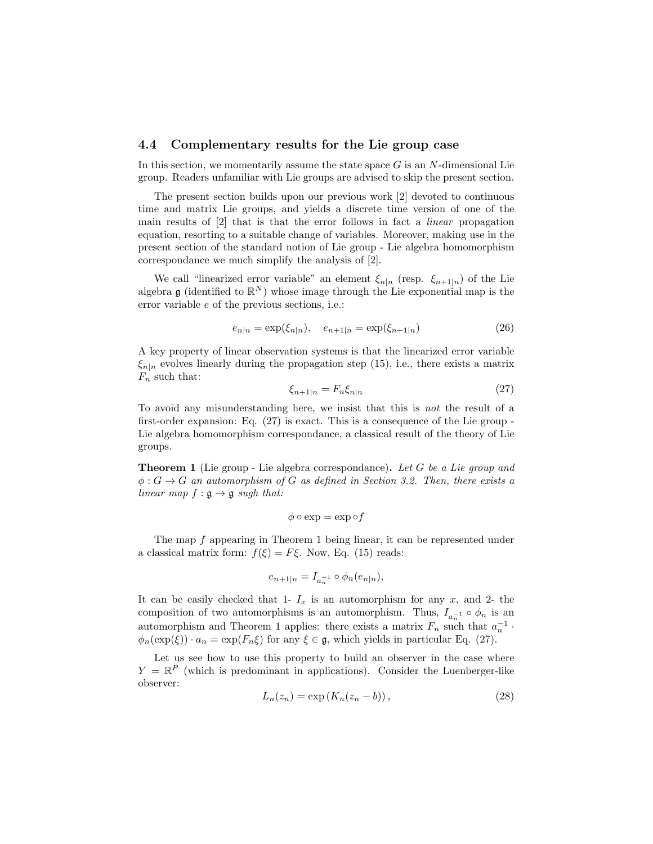#### 4.4 Complementary results for the Lie group case

In this section, we momentarily assume the state space  $G$  is an  $N$ -dimensional Lie group. Readers unfamiliar with Lie groups are advised to skip the present section.

The present section builds upon our previous work [2] devoted to continuous time and matrix Lie groups, and yields a discrete time version of one of the main results of [2] that is that the error follows in fact a linear propagation equation, resorting to a suitable change of variables. Moreover, making use in the present section of the standard notion of Lie group - Lie algebra homomorphism correspondance we much simplify the analysis of [2].

We call "linearized error variable" an element  $\xi_{n|n}$  (resp.  $\xi_{n+1|n}$ ) of the Lie algebra g (identified to  $\mathbb{R}^N$ ) whose image through the Lie exponential map is the error variable e of the previous sections, i.e.:

$$
e_{n|n} = \exp(\xi_{n|n}), \quad e_{n+1|n} = \exp(\xi_{n+1|n})
$$
\n(26)

A key property of linear observation systems is that the linearized error variable  $\xi_{n|n}$  evolves linearly during the propagation step (15), i.e., there exists a matrix  $F_n$  such that:

$$
\xi_{n+1|n} = F_n \xi_{n|n} \tag{27}
$$

To avoid any misunderstanding here, we insist that this is not the result of a first-order expansion: Eq. (27) is exact. This is a consequence of the Lie group - Lie algebra homomorphism correspondance, a classical result of the theory of Lie groups.

**Theorem 1** (Lie group - Lie algebra correspondance). Let  $G$  be a Lie group and  $\phi: G \to G$  an automorphism of G as defined in Section 3.2. Then, there exists a linear map  $f : \mathfrak{g} \to \mathfrak{g}$  sugh that:

$$
\phi \circ \exp = \exp \circ f
$$

The map f appearing in Theorem 1 being linear, it can be represented under a classical matrix form:  $f(\xi) = F\xi$ . Now, Eq. (15) reads:

$$
e_{n+1|n} = I_{a_n^{-1}} \circ \phi_n(e_{n|n}),
$$

It can be easily checked that 1-  $I_x$  is an automorphism for any x, and 2- the composition of two automorphisms is an automorphism. Thus,  $I_{a_n^{-1}} \circ \phi_n$  is an automorphism and Theorem 1 applies: there exists a matrix  $F_n$  such that  $a_n^{-1}$ .  $\phi_n(\exp(\xi)) \cdot a_n = \exp(F_n \xi)$  for any  $\xi \in \mathfrak{g}$ , which yields in particular Eq. (27).

Let us see how to use this property to build an observer in the case where  $Y = \mathbb{R}^P$  (which is predominant in applications). Consider the Luenberger-like observer:

$$
L_n(z_n) = \exp\left(K_n(z_n - b)\right),\tag{28}
$$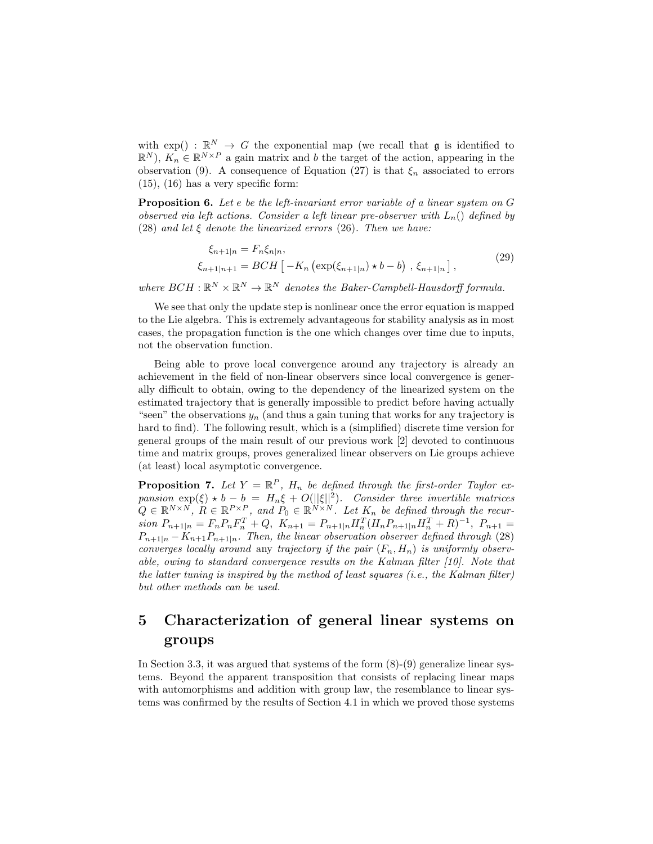with  $\exp() : \mathbb{R}^N \to G$  the exponential map (we recall that g is identified to  $\mathbb{R}^N$ ),  $K_n \in \mathbb{R}^{N \times P}$  a gain matrix and b the target of the action, appearing in the observation (9). A consequence of Equation (27) is that  $\xi_n$  associated to errors  $(15)$ ,  $(16)$  has a very specific form:

Proposition 6. Let e be the left-invariant error variable of a linear system on G observed via left actions. Consider a left linear pre-observer with  $L_n()$  defined by (28) and let  $\xi$  denote the linearized errors (26). Then we have:

$$
\xi_{n+1|n} = F_n \xi_{n|n},
$$
  
\n
$$
\xi_{n+1|n+1} = BCH \left[ -K_n \left( \exp(\xi_{n+1|n}) \star b - b \right), \xi_{n+1|n} \right],
$$
\n(29)

where  $BCH : \mathbb{R}^N \times \mathbb{R}^N \to \mathbb{R}^N$  denotes the Baker-Campbell-Hausdorff formula.

We see that only the update step is nonlinear once the error equation is mapped to the Lie algebra. This is extremely advantageous for stability analysis as in most cases, the propagation function is the one which changes over time due to inputs, not the observation function.

Being able to prove local convergence around any trajectory is already an achievement in the field of non-linear observers since local convergence is generally difficult to obtain, owing to the dependency of the linearized system on the estimated trajectory that is generally impossible to predict before having actually "seen" the observations  $y_n$  (and thus a gain tuning that works for any trajectory is hard to find). The following result, which is a (simplified) discrete time version for general groups of the main result of our previous work [2] devoted to continuous time and matrix groups, proves generalized linear observers on Lie groups achieve (at least) local asymptotic convergence.

**Proposition 7.** Let  $Y = \mathbb{R}^P$ ,  $H_n$  be defined through the first-order Taylor expansion  $\exp(\xi) \star b - b = H_n \xi + O(||\xi||^2)$ . Consider three invertible matrices  $Q \in \mathbb{R}^{N \times N}$ ,  $R \in \mathbb{R}^{P \times P}$ , and  $P_0 \in \mathbb{R}^{N \times N}$ . Let  $K_n$  be defined through the recur $sion P_{n+1|n} = F_n P_n F_n^T + Q$ ,  $K_{n+1} = P_{n+1|n} H_n^T (H_n P_{n+1|n} H_n^T + R)^{-1}$ ,  $P_{n+1} =$  $P_{n+1|n} - K_{n+1}P_{n+1|n}$ . Then, the linear observation observer defined through (28) converges locally around any trajectory if the pair  $(F_n, H_n)$  is uniformly observable, owing to standard convergence results on the Kalman filter [10]. Note that the latter tuning is inspired by the method of least squares (i.e., the Kalman filter) but other methods can be used.

## 5 Characterization of general linear systems on groups

In Section 3.3, it was argued that systems of the form (8)-(9) generalize linear systems. Beyond the apparent transposition that consists of replacing linear maps with automorphisms and addition with group law, the resemblance to linear systems was confirmed by the results of Section 4.1 in which we proved those systems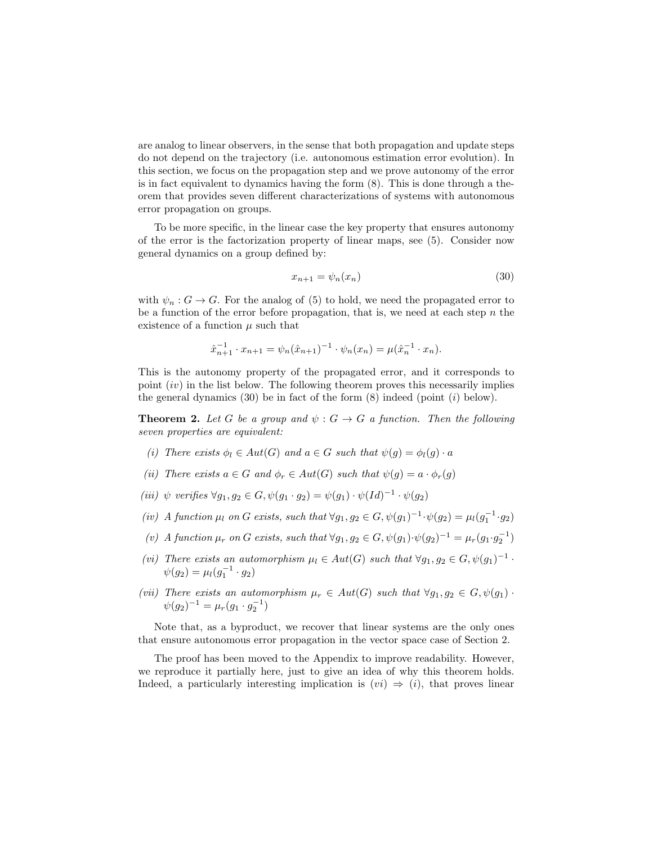are analog to linear observers, in the sense that both propagation and update steps do not depend on the trajectory (i.e. autonomous estimation error evolution). In this section, we focus on the propagation step and we prove autonomy of the error is in fact equivalent to dynamics having the form (8). This is done through a theorem that provides seven different characterizations of systems with autonomous error propagation on groups.

To be more specific, in the linear case the key property that ensures autonomy of the error is the factorization property of linear maps, see (5). Consider now general dynamics on a group defined by:

$$
x_{n+1} = \psi_n(x_n) \tag{30}
$$

with  $\psi_n : G \to G$ . For the analog of (5) to hold, we need the propagated error to be a function of the error before propagation, that is, we need at each step  $n$  the existence of a function  $\mu$  such that

$$
\hat{x}_{n+1}^{-1} \cdot x_{n+1} = \psi_n(\hat{x}_{n+1})^{-1} \cdot \psi_n(x_n) = \mu(\hat{x}_n^{-1} \cdot x_n).
$$

This is the autonomy property of the propagated error, and it corresponds to point  $(iv)$  in the list below. The following theorem proves this necessarily implies the general dynamics  $(30)$  be in fact of the form  $(8)$  indeed (point  $(i)$  below).

**Theorem 2.** Let G be a group and  $\psi$ :  $G \rightarrow G$  a function. Then the following seven properties are equivalent:

- (i) There exists  $\phi_l \in Aut(G)$  and  $a \in G$  such that  $\psi(g) = \phi_l(g) \cdot a$
- (ii) There exists  $a \in G$  and  $\phi_r \in Aut(G)$  such that  $\psi(g) = a \cdot \phi_r(g)$
- (iii)  $\psi$  verifies  $\forall g_1, g_2 \in G$ ,  $\psi(g_1 \cdot g_2) = \psi(g_1) \cdot \psi(Id)^{-1} \cdot \psi(g_2)$
- (iv) A function  $\mu_l$  on G exists, such that  $\forall g_1, g_2 \in G$ ,  $\psi(g_1)^{-1} \cdot \psi(g_2) = \mu_l(g_1^{-1} \cdot g_2)$
- (v) A function  $\mu_r$  on G exists, such that  $\forall g_1, g_2 \in G$ ,  $\psi(g_1) \cdot \psi(g_2)^{-1} = \mu_r(g_1 \cdot g_2^{-1})$
- (vi) There exists an automorphism  $\mu_l \in Aut(G)$  such that  $\forall g_1, g_2 \in G, \psi(g_1)^{-1}$ .  $\psi(g_2) = \mu_l(g_1^{-1} \cdot g_2)$
- (vii) There exists an automorphism  $\mu_r \in Aut(G)$  such that  $\forall g_1, g_2 \in G, \psi(g_1)$ .  $\psi(g_2)^{-1} = \mu_r(g_1 \cdot g_2^{-1})$

Note that, as a byproduct, we recover that linear systems are the only ones that ensure autonomous error propagation in the vector space case of Section 2.

The proof has been moved to the Appendix to improve readability. However, we reproduce it partially here, just to give an idea of why this theorem holds. Indeed, a particularly interesting implication is  $(vi) \Rightarrow (i)$ , that proves linear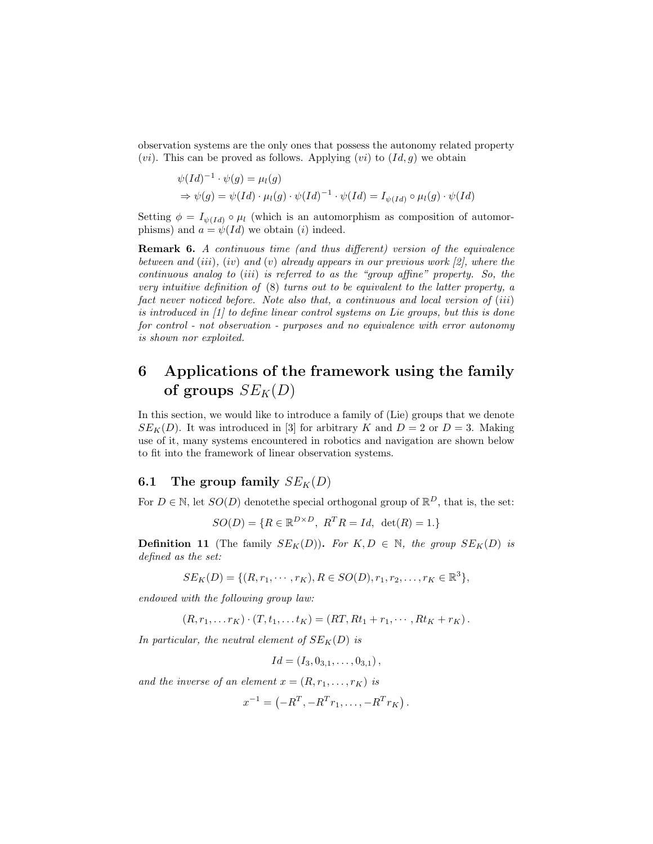observation systems are the only ones that possess the autonomy related property  $(vi)$ . This can be proved as follows. Applying  $(vi)$  to  $(Id, g)$  we obtain

$$
\psi(Id)^{-1} \cdot \psi(g) = \mu_l(g)
$$
  
\n
$$
\Rightarrow \psi(g) = \psi(Id) \cdot \mu_l(g) \cdot \psi(Id)^{-1} \cdot \psi(Id) = I_{\psi(Id)} \circ \mu_l(g) \cdot \psi(Id)
$$

Setting  $\phi = I_{\psi(Id)} \circ \mu_l$  (which is an automorphism as composition of automorphisms) and  $a = \psi(Id)$  we obtain (i) indeed.

Remark 6. A continuous time (and thus different) version of the equivalence between and (iii), (iv) and (v) already appears in our previous work [2], where the continuous analog to (iii) is referred to as the "group affine" property. So, the very intuitive definition of (8) turns out to be equivalent to the latter property, a fact never noticed before. Note also that, a continuous and local version of (iii) is introduced in [1] to define linear control systems on Lie groups, but this is done for control - not observation - purposes and no equivalence with error autonomy is shown nor exploited.

## 6 Applications of the framework using the family of groups  $SE_K(D)$

In this section, we would like to introduce a family of (Lie) groups that we denote  $SE_K(D)$ . It was introduced in [3] for arbitrary K and  $D = 2$  or  $D = 3$ . Making use of it, many systems encountered in robotics and navigation are shown below to fit into the framework of linear observation systems.

### 6.1 The group family  $SE_K(D)$

For  $D \in \mathbb{N}$ , let  $SO(D)$  denote the special orthogonal group of  $\mathbb{R}^D$ , that is, the set:

$$
SO(D) = \{ R \in \mathbb{R}^{D \times D}, \ R^T R = Id, \ \det(R) = 1 \}
$$

**Definition 11** (The family  $SE_K(D)$ ). For  $K, D \in \mathbb{N}$ , the group  $SE_K(D)$  is defined as the set:

$$
SE_K(D) = \{ (R, r_1, \cdots, r_K), R \in SO(D), r_1, r_2, \ldots, r_K \in \mathbb{R}^3 \},
$$

endowed with the following group law:

$$
(R, r_1, \ldots r_K) \cdot (T, t_1, \ldots t_K) = (RT, Rt_1 + r_1, \cdots, Rt_K + r_K).
$$

In particular, the neutral element of  $SE_K(D)$  is

$$
Id = (I_3, 0_{3,1}, \ldots, 0_{3,1}),
$$

and the inverse of an element  $x = (R, r_1, \ldots, r_K)$  is

$$
x^{-1} = (-R^T, -R^T r_1, \dots, -R^T r_K).
$$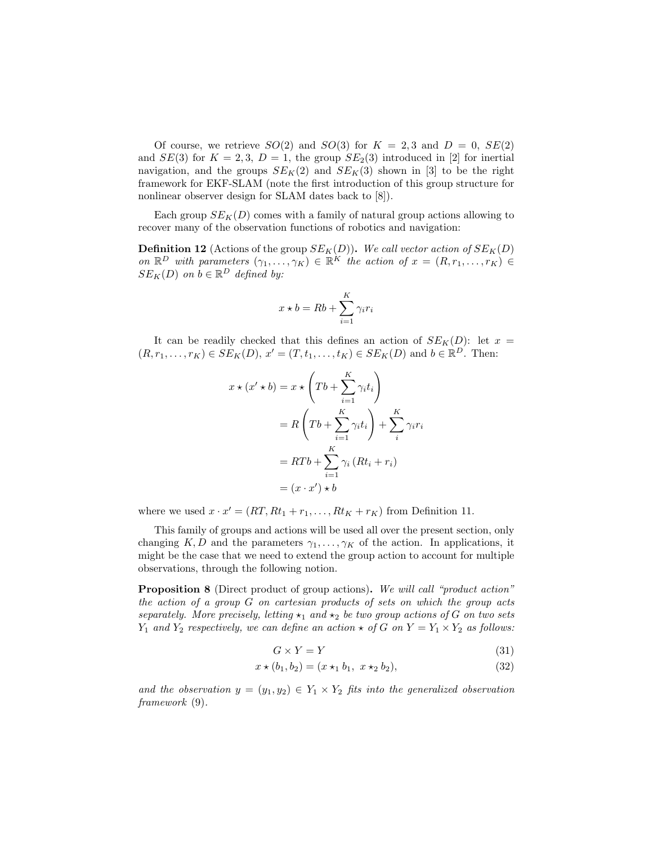Of course, we retrieve  $SO(2)$  and  $SO(3)$  for  $K = 2,3$  and  $D = 0, SE(2)$ and  $SE(3)$  for  $K = 2,3, D = 1$ , the group  $SE_2(3)$  introduced in [2] for inertial navigation, and the groups  $SE_K(2)$  and  $SE_K(3)$  shown in [3] to be the right framework for EKF-SLAM (note the first introduction of this group structure for nonlinear observer design for SLAM dates back to [8]).

Each group  $SE_K(D)$  comes with a family of natural group actions allowing to recover many of the observation functions of robotics and navigation:

**Definition 12** (Actions of the group  $SE_K(D)$ ). We call vector action of  $SE_K(D)$ on  $\mathbb{R}^D$  with parameters  $(\gamma_1,\ldots,\gamma_K) \in \mathbb{R}^K$  the action of  $x = (R, r_1,\ldots,r_K) \in$  $SE_K(D)$  on  $b \in \mathbb{R}^D$  defined by:

$$
x \star b = Rb + \sum_{i=1}^{K} \gamma_i r_i
$$

It can be readily checked that this defines an action of  $SE_K(D)$ : let  $x =$  $(R, r_1, \ldots, r_K) \in SE_K(D), x' = (T, t_1, \ldots, t_K) \in SE_K(D)$  and  $b \in \mathbb{R}^D$ . Then:

$$
x \star (x' \star b) = x \star \left(Tb + \sum_{i=1}^{K} \gamma_i t_i\right)
$$
  
=  $R\left(Tb + \sum_{i=1}^{K} \gamma_i t_i\right) + \sum_{i}^{K} \gamma_i r_i$   
=  $RTb + \sum_{i=1}^{K} \gamma_i (Rt_i + r_i)$   
=  $(x \cdot x') \star b$ 

where we used  $x \cdot x' = (RT, Rt_1 + r_1, \ldots, Rt_K + r_K)$  from Definition 11.

This family of groups and actions will be used all over the present section, only changing K, D and the parameters  $\gamma_1, \ldots, \gamma_K$  of the action. In applications, it might be the case that we need to extend the group action to account for multiple observations, through the following notion.

**Proposition 8** (Direct product of group actions). We will call "product action" the action of a group G on cartesian products of sets on which the group acts separately. More precisely, letting  $\star_1$  and  $\star_2$  be two group actions of G on two sets  $Y_1$  and  $Y_2$  respectively, we can define an action  $\star$  of G on  $Y = Y_1 \times Y_2$  as follows:

$$
G \times Y = Y \tag{31}
$$

$$
x \star (b_1, b_2) = (x \star_1 b_1, x \star_2 b_2), \tag{32}
$$

and the observation  $y = (y_1, y_2) \in Y_1 \times Y_2$  fits into the generalized observation framework (9).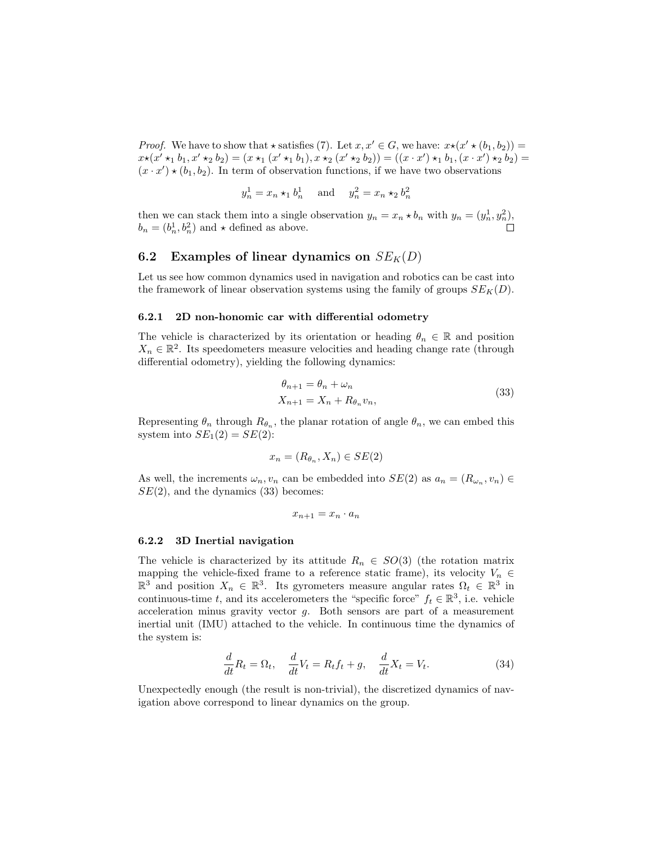*Proof.* We have to show that  $\star$  satisfies (7). Let  $x, x' \in G$ , we have:  $x \star (x' \star (b_1, b_2)) =$  $x \star (x' \star_1 b_1, x' \star_2 b_2) = (x \star_1 (x' \star_1 b_1), x \star_2 (x' \star_2 b_2)) = ((x \cdot x') \star_1 b_1, (x \cdot x') \star_2 b_2) =$  $(x \cdot x') \star (b_1, b_2)$ . In term of observation functions, if we have two observations

$$
y_n^1 = x_n \star_1 b_n^1
$$
 and  $y_n^2 = x_n \star_2 b_n^2$ 

then we can stack them into a single observation  $y_n = x_n * b_n$  with  $y_n = (y_n^1, y_n^2)$ ,  $b_n = (b_n^1, b_n^2)$  and  $\star$  defined as above.

#### 6.2 Examples of linear dynamics on  $SE_K(D)$

Let us see how common dynamics used in navigation and robotics can be cast into the framework of linear observation systems using the family of groups  $SE<sub>K</sub>(D)$ .

#### 6.2.1 2D non-honomic car with differential odometry

The vehicle is characterized by its orientation or heading  $\theta_n \in \mathbb{R}$  and position  $X_n \in \mathbb{R}^2$ . Its speedometers measure velocities and heading change rate (through differential odometry), yielding the following dynamics:

$$
\theta_{n+1} = \theta_n + \omega_n
$$
  
\n
$$
X_{n+1} = X_n + R_{\theta_n} v_n,
$$
\n(33)

Representing  $\theta_n$  through  $R_{\theta_n}$ , the planar rotation of angle  $\theta_n$ , we can embed this system into  $SE_1(2) = SE(2)$ :

$$
x_n = (R_{\theta_n}, X_n) \in SE(2)
$$

As well, the increments  $\omega_n, v_n$  can be embedded into  $SE(2)$  as  $a_n = (R_{\omega_n}, v_n) \in$  $SE(2)$ , and the dynamics  $(33)$  becomes:

$$
x_{n+1}=x_n\cdot a_n
$$

#### 6.2.2 3D Inertial navigation

The vehicle is characterized by its attitude  $R_n \in SO(3)$  (the rotation matrix mapping the vehicle-fixed frame to a reference static frame), its velocity  $V_n \in$  $\mathbb{R}^3$  and position  $X_n \in \mathbb{R}^3$ . Its gyrometers measure angular rates  $\Omega_t \in \mathbb{R}^3$  in continuous-time t, and its accelerometers the "specific force"  $f_t \in \mathbb{R}^3$ , i.e. vehicle acceleration minus gravity vector  $g$ . Both sensors are part of a measurement inertial unit (IMU) attached to the vehicle. In continuous time the dynamics of the system is:

$$
\frac{d}{dt}R_t = \Omega_t, \quad \frac{d}{dt}V_t = R_t f_t + g, \quad \frac{d}{dt}X_t = V_t.
$$
\n(34)

Unexpectedly enough (the result is non-trivial), the discretized dynamics of navigation above correspond to linear dynamics on the group.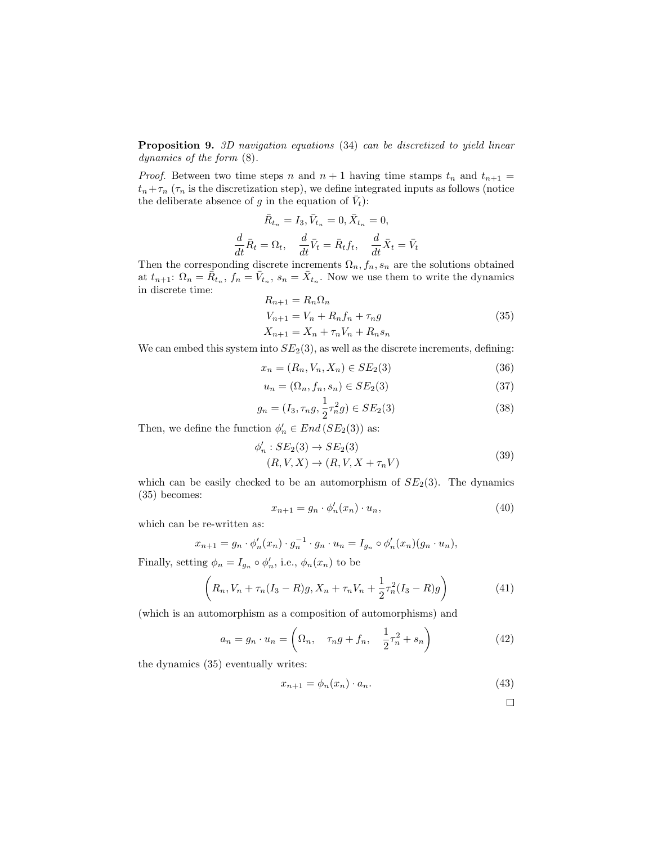Proposition 9. 3D navigation equations (34) can be discretized to yield linear dynamics of the form (8).

*Proof.* Between two time steps n and  $n + 1$  having time stamps  $t_n$  and  $t_{n+1}$  =  $t_n+\tau_n$  ( $\tau_n$  is the discretization step), we define integrated inputs as follows (notice the deliberate absence of g in the equation of  $\bar{V}_t$ ):

$$
\bar{R}_{t_n} = I_3, \bar{V}_{t_n} = 0, \bar{X}_{t_n} = 0,
$$
  

$$
\frac{d}{dt}\bar{R}_t = \Omega_t, \quad \frac{d}{dt}\bar{V}_t = \bar{R}_t f_t, \quad \frac{d}{dt}\bar{X}_t = \bar{V}_t
$$

Then the corresponding discrete increments  $\Omega_n, f_n, s_n$  are the solutions obtained at  $t_{n+1}$ :  $\Omega_n = \overline{R}_{t_n}$ ,  $f_n = \overline{V}_{t_n}$ ,  $s_n = \overline{X}_{t_n}$ . Now we use them to write the dynamics in discrete time:

$$
R_{n+1} = R_n \Omega_n
$$
  
\n
$$
V_{n+1} = V_n + R_n f_n + \tau_n g
$$
  
\n
$$
X_{n+1} = X_n + \tau_n V_n + R_n s_n
$$
\n(35)

We can embed this system into  $SE_2(3)$ , as well as the discrete increments, defining:

$$
x_n = (R_n, V_n, X_n) \in SE_2(3)
$$
 (36)

$$
u_n = (\Omega_n, f_n, s_n) \in SE_2(3)
$$
\n
$$
(37)
$$

$$
g_n = (I_3, \tau_n g, \frac{1}{2}\tau_n^2 g) \in SE_2(3)
$$
\n(38)

Then, we define the function  $\phi'_n \in End(SE_2(3))$  as:

$$
\phi'_n: SE_2(3) \to SE_2(3)
$$
  

$$
(R, V, X) \to (R, V, X + \tau_n V)
$$
 (39)

which can be easily checked to be an automorphism of  $SE<sub>2</sub>(3)$ . The dynamics (35) becomes:

$$
x_{n+1} = g_n \cdot \phi'_n(x_n) \cdot u_n,\tag{40}
$$

which can be re-written as:

$$
x_{n+1} = g_n \cdot \phi'_n(x_n) \cdot g_n^{-1} \cdot g_n \cdot u_n = I_{g_n} \circ \phi'_n(x_n)(g_n \cdot u_n),
$$

Finally, setting  $\phi_n = I_{g_n} \circ \phi'_n$ , i.e.,  $\phi_n(x_n)$  to be

$$
\left(R_n, V_n + \tau_n (I_3 - R)g, X_n + \tau_n V_n + \frac{1}{2} \tau_n^2 (I_3 - R)g\right)
$$
\n(41)

(which is an automorphism as a composition of automorphisms) and

$$
a_n = g_n \cdot u_n = \left(\Omega_n, \quad \tau_n g + f_n, \quad \frac{1}{2}\tau_n^2 + s_n\right) \tag{42}
$$

the dynamics (35) eventually writes:

$$
x_{n+1} = \phi_n(x_n) \cdot a_n. \tag{43}
$$

$$
\square
$$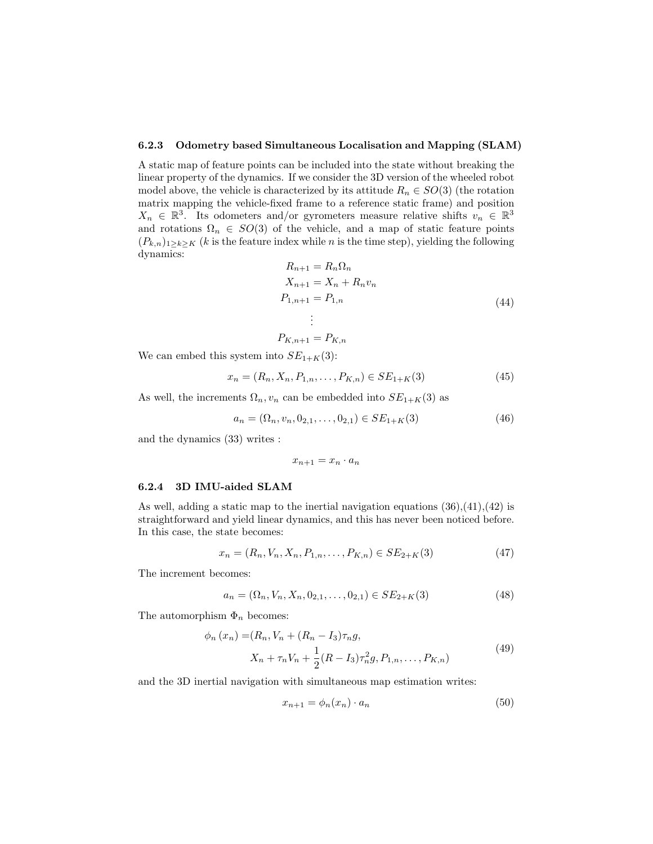#### 6.2.3 Odometry based Simultaneous Localisation and Mapping (SLAM)

A static map of feature points can be included into the state without breaking the linear property of the dynamics. If we consider the 3D version of the wheeled robot model above, the vehicle is characterized by its attitude  $R_n \in SO(3)$  (the rotation matrix mapping the vehicle-fixed frame to a reference static frame) and position  $X_n \in \mathbb{R}^3$ . Its odometers and/or gyrometers measure relative shifts  $v_n \in \mathbb{R}^3$ and rotations  $\Omega_n \in SO(3)$  of the vehicle, and a map of static feature points  $(P_{k,n})_{1\geq k\geq K}$  (k is the feature index while n is the time step), yielding the following dynamics:

$$
R_{n+1} = R_n \Omega_n
$$
  
\n
$$
X_{n+1} = X_n + R_n v_n
$$
  
\n
$$
P_{1,n+1} = P_{1,n}
$$
  
\n
$$
\vdots
$$
  
\n
$$
P_{K,n+1} = P_{K,n}
$$
\n(44)

We can embed this system into  $SE_{1+K}(3)$ :

$$
x_n = (R_n, X_n, P_{1,n}, \dots, P_{K,n}) \in SE_{1+K}(3)
$$
\n<sup>(45)</sup>

As well, the increments  $\Omega_n$ ,  $v_n$  can be embedded into  $SE_{1+K}(3)$  as

$$
a_n = (\Omega_n, v_n, 0_{2,1}, \dots, 0_{2,1}) \in SE_{1+K}(3)
$$
\n(46)

and the dynamics (33) writes :

$$
x_{n+1}=x_n\cdot a_n
$$

#### 6.2.4 3D IMU-aided SLAM

As well, adding a static map to the inertial navigation equations  $(36),(41),(42)$  is straightforward and yield linear dynamics, and this has never been noticed before. In this case, the state becomes:

$$
x_n = (R_n, V_n, X_n, P_{1,n}, \dots, P_{K,n}) \in SE_{2+K}(3)
$$
\n<sup>(47)</sup>

The increment becomes:

$$
a_n = (\Omega_n, V_n, X_n, 0_{2,1}, \dots, 0_{2,1}) \in SE_{2+K}(3)
$$
\n(48)

The automorphism  $\Phi_n$  becomes:

$$
\phi_n(x_n) = (R_n, V_n + (R_n - I_3)\tau_n g,
$$
  
\n
$$
X_n + \tau_n V_n + \frac{1}{2}(R - I_3)\tau_n^2 g, P_{1,n}, \dots, P_{K,n})
$$
\n(49)

and the 3D inertial navigation with simultaneous map estimation writes:

$$
x_{n+1} = \phi_n(x_n) \cdot a_n \tag{50}
$$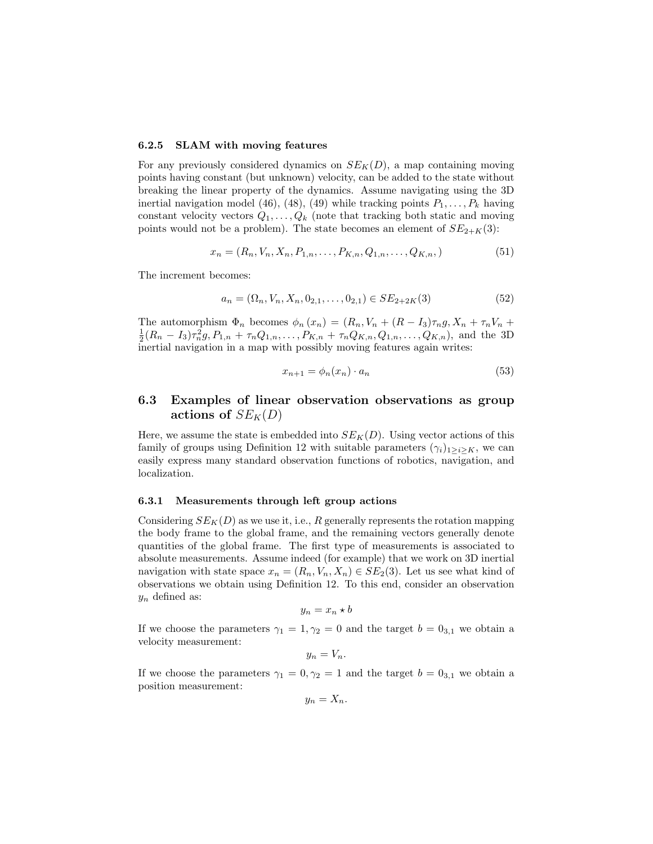#### 6.2.5 SLAM with moving features

For any previously considered dynamics on  $SE_K(D)$ , a map containing moving points having constant (but unknown) velocity, can be added to the state without breaking the linear property of the dynamics. Assume navigating using the 3D inertial navigation model (46), (48), (49) while tracking points  $P_1, \ldots, P_k$  having constant velocity vectors  $Q_1, \ldots, Q_k$  (note that tracking both static and moving points would not be a problem). The state becomes an element of  $SE_{2+K}(3)$ :

$$
x_n = (R_n, V_n, X_n, P_{1,n}, \dots, P_{K,n}, Q_{1,n}, \dots, Q_{K,n},)
$$
\n
$$
(51)
$$

The increment becomes:

$$
a_n = (\Omega_n, V_n, X_n, 0_{2,1}, \dots, 0_{2,1}) \in SE_{2+2K}(3)
$$
\n
$$
(52)
$$

The automorphism  $\Phi_n$  becomes  $\phi_n(x_n) = (R_n, V_n + (R - I_3)\tau_n g, X_n + \tau_n V_n +$  $\frac{1}{2}(R_n - I_3)\tau_n^2 g, P_{1,n} + \tau_n Q_{1,n}, \ldots, P_{K,n} + \tau_n Q_{K,n}, Q_{1,n}, \ldots, Q_{K,n}),$  and the 3D inertial navigation in a map with possibly moving features again writes:

$$
x_{n+1} = \phi_n(x_n) \cdot a_n \tag{53}
$$

### 6.3 Examples of linear observation observations as group actions of  $SE_K(D)$

Here, we assume the state is embedded into  $SE_K(D)$ . Using vector actions of this family of groups using Definition 12 with suitable parameters  $(\gamma_i)_{1\geq i\geq K}$ , we can easily express many standard observation functions of robotics, navigation, and localization.

#### 6.3.1 Measurements through left group actions

Considering  $SE_K(D)$  as we use it, i.e., R generally represents the rotation mapping the body frame to the global frame, and the remaining vectors generally denote quantities of the global frame. The first type of measurements is associated to absolute measurements. Assume indeed (for example) that we work on 3D inertial navigation with state space  $x_n = (R_n, V_n, X_n) \in SE_2(3)$ . Let us see what kind of observations we obtain using Definition 12. To this end, consider an observation  $y_n$  defined as:

$$
y_n = x_n \star b
$$

If we choose the parameters  $\gamma_1 = 1, \gamma_2 = 0$  and the target  $b = 0_{3,1}$  we obtain a velocity measurement:

$$
y_n=V_n.
$$

If we choose the parameters  $\gamma_1 = 0, \gamma_2 = 1$  and the target  $b = 0_{3,1}$  we obtain a position measurement:

$$
y_n=X_n.
$$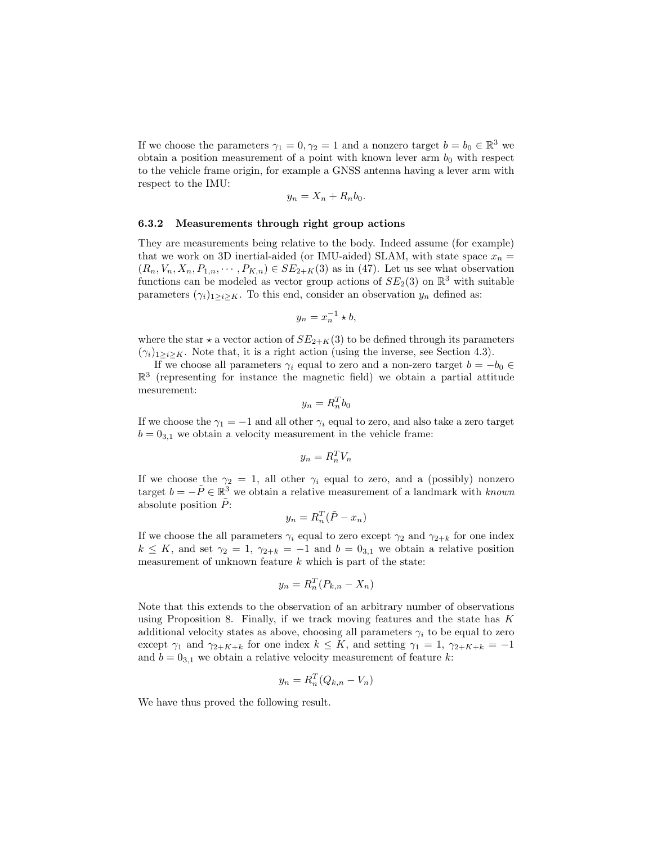If we choose the parameters  $\gamma_1 = 0, \gamma_2 = 1$  and a nonzero target  $b = b_0 \in \mathbb{R}^3$  we obtain a position measurement of a point with known lever arm  $b_0$  with respect to the vehicle frame origin, for example a GNSS antenna having a lever arm with respect to the IMU:

$$
y_n = X_n + R_n b_0.
$$

#### 6.3.2 Measurements through right group actions

They are measurements being relative to the body. Indeed assume (for example) that we work on 3D inertial-aided (or IMU-aided) SLAM, with state space  $x_n =$  $(R_n, V_n, X_n, P_{1,n}, \cdots, P_{K,n}) \in SE_{2+K}(3)$  as in (47). Let us see what observation functions can be modeled as vector group actions of  $SE_2(3)$  on  $\mathbb{R}^3$  with suitable parameters  $(\gamma_i)_{1\geq i\geq K}$ . To this end, consider an observation  $y_n$  defined as:

$$
y_n = x_n^{-1} \star b,
$$

where the star  $\star$  a vector action of  $SE_{2+K}(3)$  to be defined through its parameters  $(\gamma_i)_{1\geq i\geq K}$ . Note that, it is a right action (using the inverse, see Section 4.3).

If we choose all parameters  $\gamma_i$  equal to zero and a non-zero target  $b = -b_0 \in$  $\mathbb{R}^3$  (representing for instance the magnetic field) we obtain a partial attitude mesurement:

$$
y_n = R_n^T b_0
$$

If we choose the  $\gamma_1 = -1$  and all other  $\gamma_i$  equal to zero, and also take a zero target  $b = 0_{3,1}$  we obtain a velocity measurement in the vehicle frame:

$$
y_n = R_n^T V_n
$$

If we choose the  $\gamma_2 = 1$ , all other  $\gamma_i$  equal to zero, and a (possibly) nonzero target  $b = -\tilde{P} \in \mathbb{R}^3$  we obtain a relative measurement of a landmark with known absolute position  $\tilde{P}$ :

$$
y_n = R_n^T(\tilde{P} - x_n)
$$

If we choose the all parameters  $\gamma_i$  equal to zero except  $\gamma_2$  and  $\gamma_{2+k}$  for one index  $k \leq K$ , and set  $\gamma_2 = 1$ ,  $\gamma_{2+k} = -1$  and  $b = 0_{3,1}$  we obtain a relative position measurement of unknown feature  $k$  which is part of the state:

$$
y_n = R_n^T (P_{k,n} - X_n)
$$

Note that this extends to the observation of an arbitrary number of observations using Proposition 8. Finally, if we track moving features and the state has  $K$ additional velocity states as above, choosing all parameters  $\gamma_i$  to be equal to zero except  $\gamma_1$  and  $\gamma_{2+K+k}$  for one index  $k \leq K$ , and setting  $\gamma_1 = 1$ ,  $\gamma_{2+K+k} = -1$ and  $b = 0_{3,1}$  we obtain a relative velocity measurement of feature k:

$$
y_n = R_n^T (Q_{k,n} - V_n)
$$

We have thus proved the following result.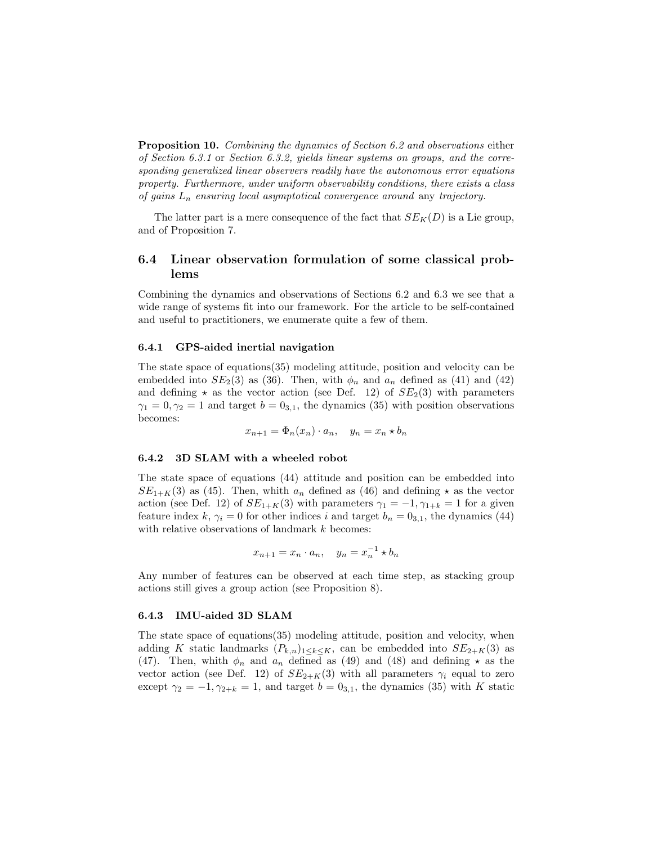**Proposition 10.** Combining the dynamics of Section 6.2 and observations either of Section 6.3.1 or Section 6.3.2, yields linear systems on groups, and the corresponding generalized linear observers readily have the autonomous error equations property. Furthermore, under uniform observability conditions, there exists a class of gains  $L_n$  ensuring local asymptotical convergence around any trajectory.

The latter part is a mere consequence of the fact that  $SE<sub>K</sub>(D)$  is a Lie group, and of Proposition 7.

### 6.4 Linear observation formulation of some classical problems

Combining the dynamics and observations of Sections 6.2 and 6.3 we see that a wide range of systems fit into our framework. For the article to be self-contained and useful to practitioners, we enumerate quite a few of them.

#### 6.4.1 GPS-aided inertial navigation

The state space of equations(35) modeling attitude, position and velocity can be embedded into  $SE_2(3)$  as (36). Then, with  $\phi_n$  and  $a_n$  defined as (41) and (42) and defining  $\star$  as the vector action (see Def. 12) of  $SE<sub>2</sub>(3)$  with parameters  $\gamma_1 = 0, \gamma_2 = 1$  and target  $b = 0_{3,1}$ , the dynamics (35) with position observations becomes:

$$
x_{n+1} = \Phi_n(x_n) \cdot a_n, \quad y_n = x_n * b_n
$$

#### 6.4.2 3D SLAM with a wheeled robot

The state space of equations (44) attitude and position can be embedded into  $SE_{1+K}(3)$  as (45). Then, whith  $a_n$  defined as (46) and defining  $\star$  as the vector action (see Def. 12) of  $SE_{1+K}(3)$  with parameters  $\gamma_1 = -1, \gamma_{1+k} = 1$  for a given feature index k,  $\gamma_i = 0$  for other indices i and target  $b_n = 0_{3,1}$ , the dynamics (44) with relative observations of landmark  $k$  becomes:

$$
x_{n+1} = x_n \cdot a_n, \quad y_n = x_n^{-1} \star b_n
$$

Any number of features can be observed at each time step, as stacking group actions still gives a group action (see Proposition 8).

#### 6.4.3 IMU-aided 3D SLAM

The state space of equations(35) modeling attitude, position and velocity, when adding K static landmarks  $(P_{k,n})_{1\leq k\leq K}$ , can be embedded into  $SE_{2+K}(3)$  as (47). Then, whith  $\phi_n$  and  $a_n$  defined as (49) and (48) and defining  $\star$  as the vector action (see Def. 12) of  $SE_{2+K}(3)$  with all parameters  $\gamma_i$  equal to zero except  $\gamma_2 = -1, \gamma_{2+k} = 1$ , and target  $b = 0_{3,1}$ , the dynamics (35) with K static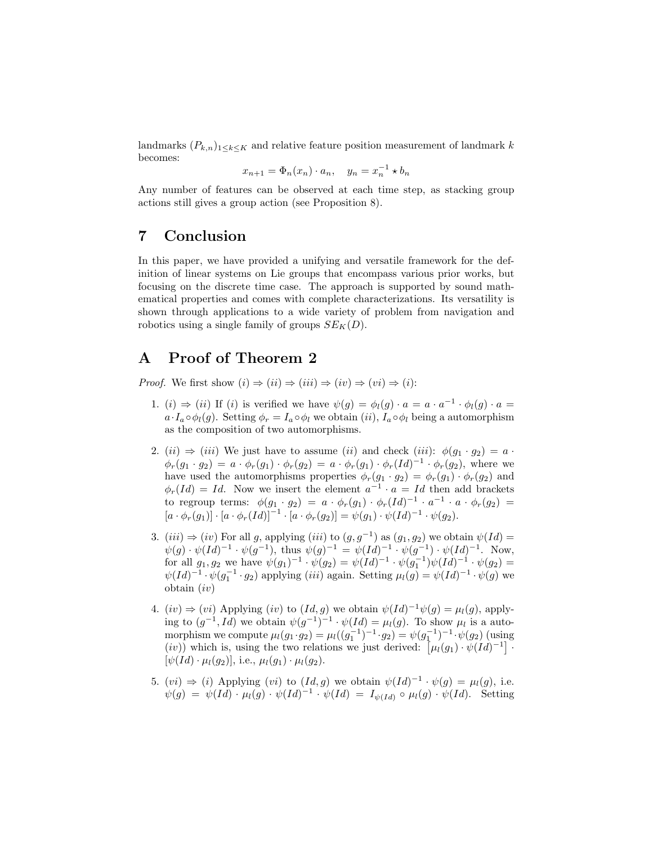landmarks  $(P_{k,n})_{1\leq k\leq K}$  and relative feature position measurement of landmark k becomes:

$$
x_{n+1} = \Phi_n(x_n) \cdot a_n, \quad y_n = x_n^{-1} \star b_n
$$

Any number of features can be observed at each time step, as stacking group actions still gives a group action (see Proposition 8).

## 7 Conclusion

In this paper, we have provided a unifying and versatile framework for the definition of linear systems on Lie groups that encompass various prior works, but focusing on the discrete time case. The approach is supported by sound mathematical properties and comes with complete characterizations. Its versatility is shown through applications to a wide variety of problem from navigation and robotics using a single family of groups  $SE_K(D)$ .

## A Proof of Theorem 2

*Proof.* We first show  $(i) \Rightarrow (ii) \Rightarrow (iii) \Rightarrow (iv) \Rightarrow (vi) \Rightarrow (i)$ :

- 1. (i)  $\Rightarrow$  (ii) If (i) is verified we have  $\psi(g) = \phi_l(g) \cdot a = a \cdot a^{-1} \cdot \phi_l(g) \cdot a =$  $a \cdot I_a \circ \phi_l(g)$ . Setting  $\phi_r = I_a \circ \phi_l$  we obtain  $(ii)$ ,  $I_a \circ \phi_l$  being a automorphism as the composition of two automorphisms.
- 2. (ii)  $\Rightarrow$  (iii) We just have to assume (ii) and check (iii):  $\phi(g_1 \cdot g_2) = a \cdot$  $\phi_r(g_1 \cdot g_2) = a \cdot \phi_r(g_1) \cdot \phi_r(g_2) = a \cdot \phi_r(g_1) \cdot \phi_r(Id)^{-1} \cdot \phi_r(g_2)$ , where we have used the automorphisms properties  $\phi_r(g_1 \cdot g_2) = \phi_r(g_1) \cdot \phi_r(g_2)$  and  $\phi_r(Id) = Id.$  Now we insert the element  $a^{-1} \cdot a = Id$  then add brackets to regroup terms:  $\phi(g_1 \cdot g_2) = a \cdot \phi_r(g_1) \cdot \phi_r(Id)^{-1} \cdot a^{-1} \cdot a \cdot \phi_r(g_2) =$  $[a \cdot \phi_r(g_1)] \cdot [a \cdot \phi_r(Id)]^{-1} \cdot [a \cdot \phi_r(g_2)] = \psi(g_1) \cdot \psi(Id)^{-1} \cdot \psi(g_2).$
- 3. (iii)  $\Rightarrow$  (iv) For all g, applying (iii) to  $(g, g^{-1})$  as  $(g_1, g_2)$  we obtain  $\psi(Id)$  =  $\psi(g) \cdot \psi(Id)^{-1} \cdot \psi(g^{-1}),$  thus  $\psi(g)^{-1} = \psi(Id)^{-1} \cdot \psi(g^{-1}) \cdot \psi(Id)^{-1}.$  Now, for all  $g_1, g_2$  we have  $\psi(g_1)^{-1} \cdot \psi(g_2) = \psi(Id)^{-1} \cdot \psi(g_1^{-1}) \psi(Id)^{-1} \cdot \psi(g_2) =$  $\psi(Id)^{-1} \cdot \psi(g_1^{-1} \cdot g_2)$  applying  $(iii)$  again. Setting  $\mu_l(g) = \psi(Id)^{-1} \cdot \psi(g)$  we obtain  $(iv)$
- 4.  $(iv) \Rightarrow (vi)$  Applying  $(iv)$  to  $(Id, g)$  we obtain  $\psi(Id)^{-1}\psi(g) = \mu_l(g)$ , applying to  $(g^{-1}, Id)$  we obtain  $\psi(g^{-1})^{-1} \cdot \psi(Id) = \mu_l(g)$ . To show  $\mu_l$  is a automorphism we compute  $\mu_l(g_1 \cdot g_2) = \mu_l((g_1^{-1})^{-1} \cdot g_2) = \psi(g_1^{-1})^{-1} \cdot \psi(g_2)$  (using (iv)) which is, using the two relations we just derived:  $\left[\mu_l(g_1) \cdot \psi(Id)^{-1}\right]$ .  $[\psi(Id) \cdot \mu_l(q_2)]$ , i.e.,  $\mu_l(q_1) \cdot \mu_l(q_2)$ .
- 5.  $(vi) \Rightarrow (i)$  Applying  $(vi)$  to  $(Id, g)$  we obtain  $\psi(Id)^{-1} \cdot \psi(g) = \mu_l(g)$ , i.e.  $\psi(g) = \psi(Id) \cdot \mu_l(g) \cdot \psi(Id)^{-1} \cdot \psi(Id) = I_{\psi(Id)} \circ \mu_l(g) \cdot \psi(Id)$ . Setting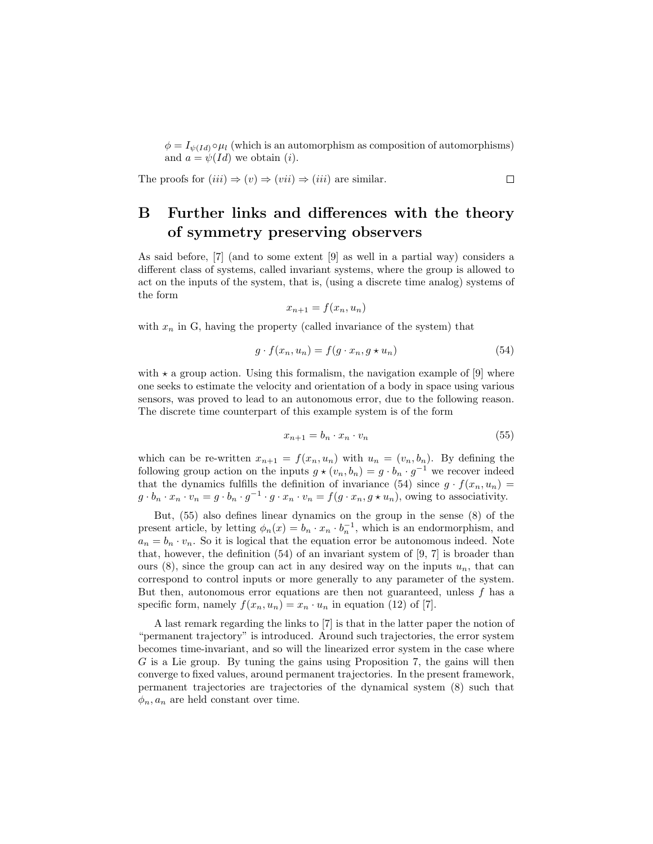$\phi = I_{\psi(Id)} \circ \mu_l$  (which is an automorphism as composition of automorphisms) and  $a = \psi(Id)$  we obtain (*i*).

The proofs for 
$$
(iii) \Rightarrow (v) \Rightarrow (vii) \Rightarrow (iii)
$$
 are similar.

## B Further links and differences with the theory of symmetry preserving observers

As said before, [7] (and to some extent [9] as well in a partial way) considers a different class of systems, called invariant systems, where the group is allowed to act on the inputs of the system, that is, (using a discrete time analog) systems of the form

$$
x_{n+1} = f(x_n, u_n)
$$

with  $x_n$  in G, having the property (called invariance of the system) that

$$
g \cdot f(x_n, u_n) = f(g \cdot x_n, g \star u_n) \tag{54}
$$

with  $\star$  a group action. Using this formalism, the navigation example of [9] where one seeks to estimate the velocity and orientation of a body in space using various sensors, was proved to lead to an autonomous error, due to the following reason. The discrete time counterpart of this example system is of the form

$$
x_{n+1} = b_n \cdot x_n \cdot v_n \tag{55}
$$

which can be re-written  $x_{n+1} = f(x_n, u_n)$  with  $u_n = (v_n, b_n)$ . By defining the following group action on the inputs  $g \star (v_n, b_n) = g \cdot b_n \cdot g^{-1}$  we recover indeed that the dynamics fulfills the definition of invariance (54) since  $g \cdot f(x_n, u_n) =$  $g \cdot b_n \cdot x_n \cdot v_n = g \cdot b_n \cdot g^{-1} \cdot g \cdot x_n \cdot v_n = f(g \cdot x_n, g \star u_n)$ , owing to associativity.

But, (55) also defines linear dynamics on the group in the sense (8) of the present article, by letting  $\phi_n(x) = b_n \cdot x_n \cdot b_n^{-1}$ , which is an endormorphism, and  $a_n = b_n \cdot v_n$ . So it is logical that the equation error be autonomous indeed. Note that, however, the definition  $(54)$  of an invariant system of [9, 7] is broader than ours  $(8)$ , since the group can act in any desired way on the inputs  $u_n$ , that can correspond to control inputs or more generally to any parameter of the system. But then, autonomous error equations are then not guaranteed, unless  $f$  has a specific form, namely  $f(x_n, u_n) = x_n \cdot u_n$  in equation (12) of [7].

A last remark regarding the links to [7] is that in the latter paper the notion of "permanent trajectory" is introduced. Around such trajectories, the error system becomes time-invariant, and so will the linearized error system in the case where G is a Lie group. By tuning the gains using Proposition 7, the gains will then converge to fixed values, around permanent trajectories. In the present framework, permanent trajectories are trajectories of the dynamical system (8) such that  $\phi_n$ ,  $a_n$  are held constant over time.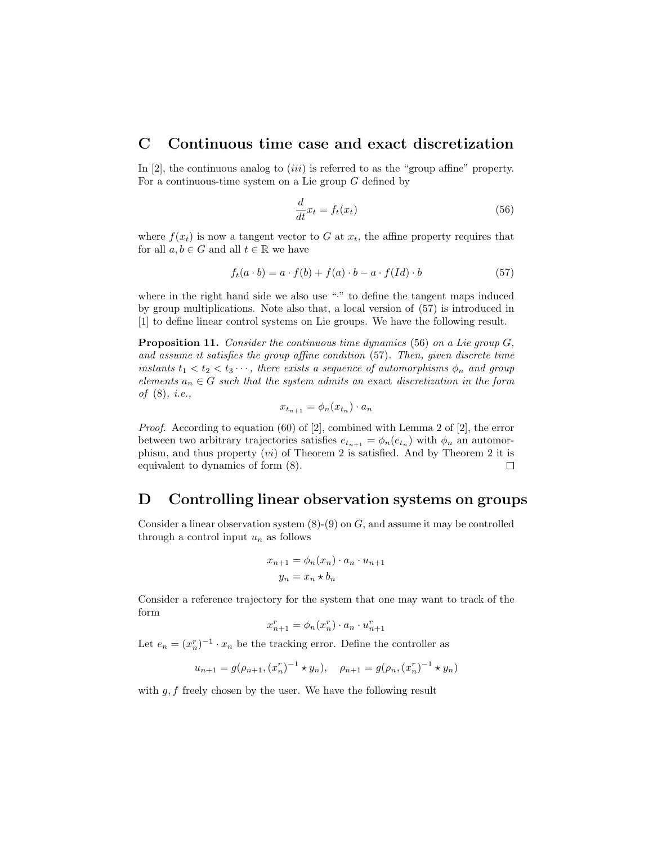### C Continuous time case and exact discretization

In  $[2]$ , the continuous analog to  $(iii)$  is referred to as the "group affine" property. For a continuous-time system on a Lie group  $G$  defined by

$$
\frac{d}{dt}x_t = f_t(x_t) \tag{56}
$$

where  $f(x_t)$  is now a tangent vector to G at  $x_t$ , the affine property requires that for all  $a, b \in G$  and all  $t \in \mathbb{R}$  we have

$$
f_t(a \cdot b) = a \cdot f(b) + f(a) \cdot b - a \cdot f(Id) \cdot b \tag{57}
$$

where in the right hand side we also use "." to define the tangent maps induced by group multiplications. Note also that, a local version of (57) is introduced in [1] to define linear control systems on Lie groups. We have the following result.

Proposition 11. Consider the continuous time dynamics (56) on a Lie group G, and assume it satisfies the group affine condition (57). Then, given discrete time instants  $t_1 < t_2 < t_3 \cdots$ , there exists a sequence of automorphisms  $\phi_n$  and group elements  $a_n \in G$  such that the system admits an exact discretization in the form of (8), i.e.,

$$
x_{t_{n+1}} = \phi_n(x_{t_n}) \cdot a_n
$$

Proof. According to equation (60) of [2], combined with Lemma 2 of [2], the error between two arbitrary trajectories satisfies  $e_{t_{n+1}} = \phi_n(e_{t_n})$  with  $\phi_n$  an automorphism, and thus property (vi) of Theorem 2 is satisfied. And by Theorem 2 it is equivalent to dynamics of form (8).  $\Box$ 

## D Controlling linear observation systems on groups

Consider a linear observation system  $(8)-(9)$  on  $G$ , and assume it may be controlled through a control input  $u_n$  as follows

$$
x_{n+1} = \phi_n(x_n) \cdot a_n \cdot u_{n+1}
$$

$$
y_n = x_n * b_n
$$

Consider a reference trajectory for the system that one may want to track of the form

$$
x_{n+1}^r = \phi_n(x_n^r) \cdot a_n \cdot u_{n+1}^r
$$

Let  $e_n = (x_n^r)^{-1} \cdot x_n$  be the tracking error. Define the controller as

$$
u_{n+1} = g(\rho_{n+1}, (x_n^r)^{-1} \star y_n), \quad \rho_{n+1} = g(\rho_n, (x_n^r)^{-1} \star y_n)
$$

with  $g, f$  freely chosen by the user. We have the following result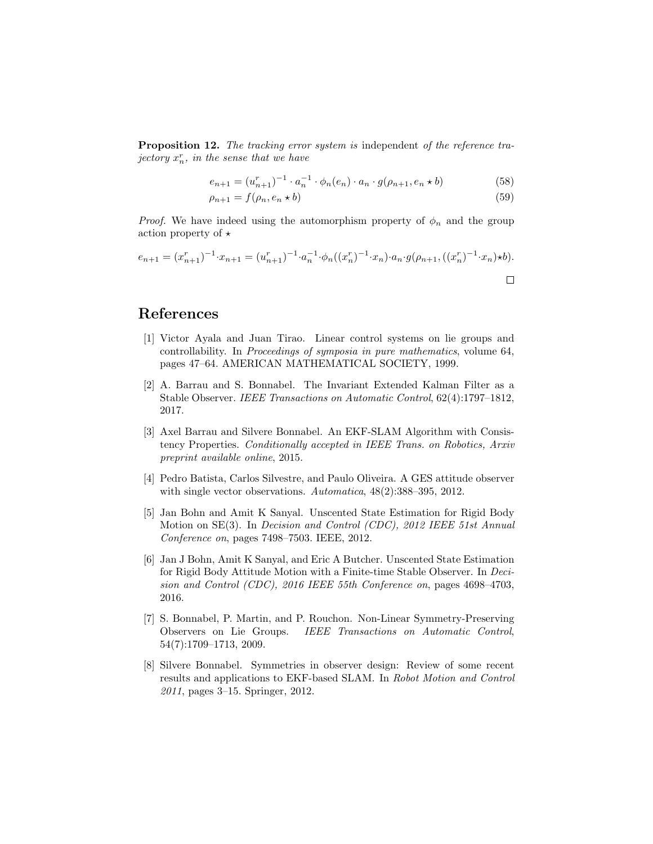Proposition 12. The tracking error system is independent of the reference tra- $\int$  jectory  $x_n^r$ , in the sense that we have

$$
e_{n+1} = (u_{n+1}^r)^{-1} \cdot a_n^{-1} \cdot \phi_n(e_n) \cdot a_n \cdot g(\rho_{n+1}, e_n \star b)
$$
 (58)

$$
\rho_{n+1} = f(\rho_n, e_n \star b) \tag{59}
$$

*Proof.* We have indeed using the automorphism property of  $\phi_n$  and the group action property of  $\star$ 

$$
e_{n+1} = (x_{n+1}^r)^{-1} \cdot x_{n+1} = (u_{n+1}^r)^{-1} \cdot a_n^{-1} \cdot \phi_n((x_n^r)^{-1} \cdot x_n) \cdot a_n \cdot g(\rho_{n+1}, ((x_n^r)^{-1} \cdot x_n) \star b).
$$

## References

- [1] Victor Ayala and Juan Tirao. Linear control systems on lie groups and controllability. In Proceedings of symposia in pure mathematics, volume 64, pages 47–64. AMERICAN MATHEMATICAL SOCIETY, 1999.
- [2] A. Barrau and S. Bonnabel. The Invariant Extended Kalman Filter as a Stable Observer. IEEE Transactions on Automatic Control, 62(4):1797–1812, 2017.
- [3] Axel Barrau and Silvere Bonnabel. An EKF-SLAM Algorithm with Consistency Properties. Conditionally accepted in IEEE Trans. on Robotics, Arxiv preprint available online, 2015.
- [4] Pedro Batista, Carlos Silvestre, and Paulo Oliveira. A GES attitude observer with single vector observations. Automatica, 48(2):388–395, 2012.
- [5] Jan Bohn and Amit K Sanyal. Unscented State Estimation for Rigid Body Motion on SE(3). In Decision and Control (CDC), 2012 IEEE 51st Annual Conference on, pages 7498–7503. IEEE, 2012.
- [6] Jan J Bohn, Amit K Sanyal, and Eric A Butcher. Unscented State Estimation for Rigid Body Attitude Motion with a Finite-time Stable Observer. In Decision and Control (CDC), 2016 IEEE 55th Conference on, pages 4698–4703, 2016.
- [7] S. Bonnabel, P. Martin, and P. Rouchon. Non-Linear Symmetry-Preserving Observers on Lie Groups. IEEE Transactions on Automatic Control, 54(7):1709–1713, 2009.
- [8] Silvere Bonnabel. Symmetries in observer design: Review of some recent results and applications to EKF-based SLAM. In Robot Motion and Control 2011, pages 3–15. Springer, 2012.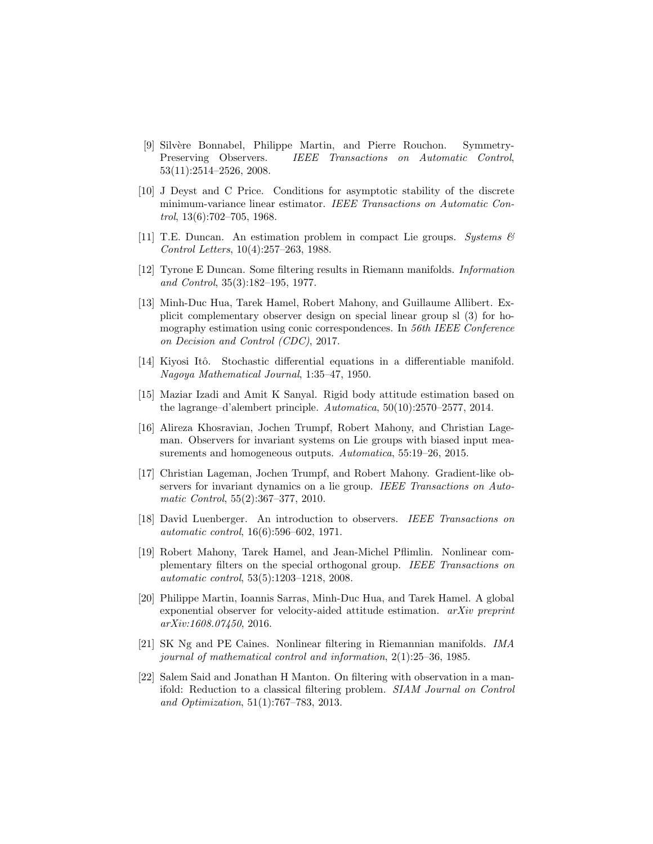- [9] Silv`ere Bonnabel, Philippe Martin, and Pierre Rouchon. Symmetry-Preserving Observers. IEEE Transactions on Automatic Control, 53(11):2514–2526, 2008.
- [10] J Deyst and C Price. Conditions for asymptotic stability of the discrete minimum-variance linear estimator. IEEE Transactions on Automatic Control, 13(6):702–705, 1968.
- [11] T.E. Duncan. An estimation problem in compact Lie groups. Systems  $\mathcal{B}$ Control Letters, 10(4):257–263, 1988.
- [12] Tyrone E Duncan. Some filtering results in Riemann manifolds. Information and Control, 35(3):182–195, 1977.
- [13] Minh-Duc Hua, Tarek Hamel, Robert Mahony, and Guillaume Allibert. Explicit complementary observer design on special linear group sl (3) for homography estimation using conic correspondences. In 56th IEEE Conference on Decision and Control (CDC), 2017.
- [14] Kiyosi Itô. Stochastic differential equations in a differentiable manifold. Nagoya Mathematical Journal, 1:35–47, 1950.
- [15] Maziar Izadi and Amit K Sanyal. Rigid body attitude estimation based on the lagrange–d'alembert principle. Automatica, 50(10):2570–2577, 2014.
- [16] Alireza Khosravian, Jochen Trumpf, Robert Mahony, and Christian Lageman. Observers for invariant systems on Lie groups with biased input measurements and homogeneous outputs. Automatica, 55:19–26, 2015.
- [17] Christian Lageman, Jochen Trumpf, and Robert Mahony. Gradient-like observers for invariant dynamics on a lie group. IEEE Transactions on Automatic Control, 55(2):367–377, 2010.
- [18] David Luenberger. An introduction to observers. IEEE Transactions on automatic control, 16(6):596–602, 1971.
- [19] Robert Mahony, Tarek Hamel, and Jean-Michel Pflimlin. Nonlinear complementary filters on the special orthogonal group. IEEE Transactions on automatic control, 53(5):1203–1218, 2008.
- [20] Philippe Martin, Ioannis Sarras, Minh-Duc Hua, and Tarek Hamel. A global exponential observer for velocity-aided attitude estimation. arXiv preprint arXiv:1608.07450, 2016.
- [21] SK Ng and PE Caines. Nonlinear filtering in Riemannian manifolds. IMA journal of mathematical control and information, 2(1):25–36, 1985.
- [22] Salem Said and Jonathan H Manton. On filtering with observation in a manifold: Reduction to a classical filtering problem. SIAM Journal on Control and Optimization, 51(1):767–783, 2013.